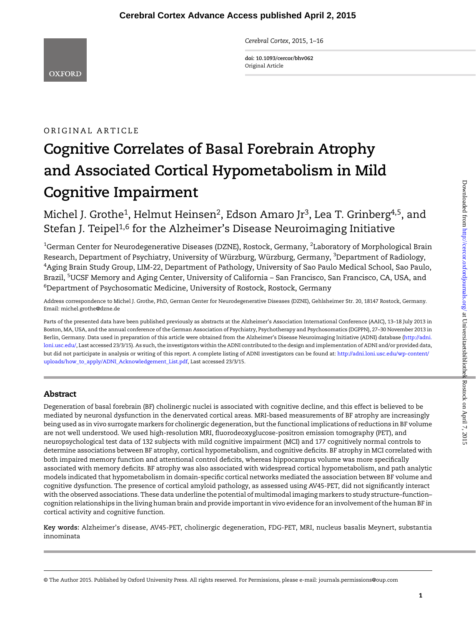Cerebral Cortex, 2015, 1–16

doi: 10.1093/cercor/bhv062 Original Article

# ORIGINAL ARTICLE

# Cognitive Correlates of Basal Forebrain Atrophy and Associated Cortical Hypometabolism in Mild Cognitive Impairment

Michel J. Grothe<sup>1</sup>, Helmut Heinsen<sup>2</sup>, Edson Amaro Jr<sup>3</sup>, Lea T. Grinberg<sup>4,5</sup>, and Stefan J. Teipel<sup>1,6</sup> for the Alzheimer's Disease Neuroimaging Initiative

 $^{\rm 1}$ German Center for Neurodegenerative Diseases (DZNE), Rostock, Germany,  $^{\rm 2}$ Laboratory of Morphological Brain Research, Department of Psychiatry, University of Würzburg, Würzburg, Germany, <sup>3</sup>Department of Radiology, 4 Aging Brain Study Group, LIM-22, Department of Pathology, University of Sao Paulo Medical School, Sao Paulo, Brazil, <sup>5</sup>UCSF Memory and Aging Center, University of California – San Francisco, San Francisco, CA, USA, and  $^6$ Department of Psychosomatic Medicine, University of Rostock, Rostock, Germany

Address correspondence to Michel J. Grothe, PhD, German Center for Neurodegenerative Diseases (DZNE), Gehlsheimer Str. 20, 18147 Rostock, Germany. Email: michel.grothe@dzne.de

Parts of the presented data have been published previously as abstracts at the Alzheimer's Association International Conference (AAIC), 13–18 July 2013 in Boston, MA, USA, and the annual conference of the German Association of Psychiatry, Psychotherapy and Psychosomatics (DGPPN), 27–30 November 2013 in Berlin, Germany. Data used in preparation of this article were obtained from the Alzheimer's Disease Neuroimaging Initiative (ADNI) database ([http://adni.](http://adni.loni.usc.edu/) [loni.usc.edu/](http://adni.loni.usc.edu/), Last accessed 23/3/15). As such, the investigators within the ADNI contributed to the design and implementation of ADNI and/or provided data, but did not participate in analysis or writing of this report. A complete listing of ADNI investigators can be found at: [http://adni.loni.usc.edu/wp-content/](http://adni.loni.usc.edu/wp-content/uploads/how_to_apply/ADNI_Acknowledgement_List.pdf) [uploads/how\\_to\\_apply/ADNI\\_Acknowledgement\\_List.pdf,](http://adni.loni.usc.edu/wp-content/uploads/how_to_apply/ADNI_Acknowledgement_List.pdf) Last accessed 23/3/15.

# Abstract

Degeneration of basal forebrain (BF) cholinergic nuclei is associated with cognitive decline, and this effect is believed to be mediated by neuronal dysfunction in the denervated cortical areas. MRI-based measurements of BF atrophy are increasingly being used as in vivo surrogate markers for cholinergic degeneration, but the functional implications of reductions in BF volume are not well understood. We used high-resolution MRI, fluorodeoxyglucose-positron emission tomography (PET), and neuropsychological test data of 132 subjects with mild cognitive impairment (MCI) and 177 cognitively normal controls to determine associations between BF atrophy, cortical hypometabolism, and cognitive deficits. BF atrophy in MCI correlated with both impaired memory function and attentional control deficits, whereas hippocampus volume was more specifically associated with memory deficits. BF atrophy was also associated with widespread cortical hypometabolism, and path analytic models indicated that hypometabolism in domain-specific cortical networks mediated the association between BF volume and cognitive dysfunction. The presence of cortical amyloid pathology, as assessed using AV45-PET, did not significantly interact with the observed associations. These data underline the potential of multimodal imaging markers to study structure–function– cognition relationships in the living human brain and provide important in vivo evidence for an involvement of the human BF in cortical activity and cognitive function.

Key words: Alzheimer's disease, AV45-PET, cholinergic degeneration, FDG-PET, MRI, nucleus basalis Meynert, substantia innominata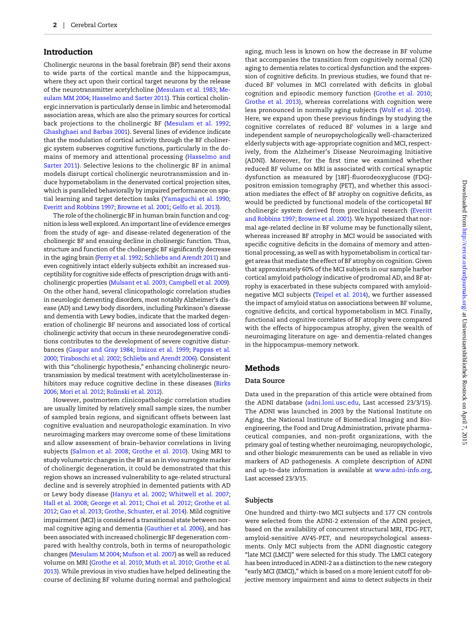# Introduction

Cholinergic neurons in the basal forebrain (BF) send their axons to wide parts of the cortical mantle and the hippocampus, where they act upon their cortical target neurons by the release of the neurotransmitter acetylcholine [\(Mesulam et al. 1983](#page-13-0); [Me](#page-13-0)[sulam MM 2004](#page-13-0); [Hasselmo and Sarter 2011](#page-13-0)). This cortical cholinergic innervation is particularly dense in limbic and heteromodal association areas, which are also the primary sources for cortical back projections to the cholinergic BF [\(Mesulam et al. 1992;](#page-13-0) [Ghashghaei and Barbas 2001\)](#page-12-0). Several lines of evidence indicate that the modulation of cortical activity through the BF cholinergic system subserves cognitive functions, particularly in the domains of memory and attentional processing [\(Hasselmo and](#page-13-0) [Sarter 2011](#page-13-0)). Selective lesions to the cholinergic BF in animal models disrupt cortical cholinergic neurotransmission and induce hypometabolism in the denervated cortical projection sites, which is paralleled behaviorally by impaired performance on spatial learning and target detection tasks ([Yamaguchi et al. 1990;](#page-15-0) [Everitt and Robbins 1997;](#page-12-0) [Browne et al. 2001;](#page-12-0) [Gelfo et al. 2013\)](#page-12-0).

The role of the cholinergic BF in human brain function and cognition is less well explored. An important line of evidence emerges from the study of age- and disease-related degeneration of the cholinergic BF and ensuing decline in cholinergic function. Thus, structure and function of the cholinergic BF significantly decrease in the aging brain [\(Perry et al. 1992;](#page-14-0) [Schliebs and Arendt 2011\)](#page-14-0) and even cognitively intact elderly subjects exhibit an increased susceptibility for cognitive side effects of prescription drugs with anticholinergic properties ([Mulsant et al. 2003;](#page-14-0) [Campbell et al. 2009](#page-12-0)). On the other hand, several clinicopathologic correlation studies in neurologic dementing disorders, most notably Alzheimer's disease (AD) and Lewy body disorders, including Parkinson's disease and dementia with Lewy bodies, indicate that the marked degeneration of cholinergic BF neurons and associated loss of cortical cholinergic activity that occurs in these neurodegenerative conditions contributes to the development of severe cognitive disturbances [\(Gaspar and Gray 1984;](#page-12-0) [Iraizoz et al. 1999;](#page-13-0) [Pappas et al.](#page-14-0) [2000;](#page-14-0) [Tiraboschi et al. 2002;](#page-14-0) [Schliebs and Arendt 2006](#page-14-0)). Consistent with this "cholinergic hypothesis," enhancing cholinergic neurotransmission by medical treatment with acetylcholinesterase inhibitors may reduce cognitive decline in these diseases [\(Birks](#page-12-0) [2006;](#page-12-0) [Mori et al. 2012](#page-13-0); [Rolinski et al. 2012](#page-14-0)).

However, postmortem clinicopathologic correlation studies are usually limited by relatively small sample sizes, the number of sampled brain regions, and significant offsets between last cognitive evaluation and neuropathologic examination. In vivo neuroimaging markers may overcome some of these limitations and allow assessment of brain–behavior correlations in living subjects ([Salmon et al. 2008;](#page-14-0) [Grothe et al. 2010](#page-12-0)). Using MRI to study volumetric changes in the BF as an in vivo surrogate marker of cholinergic degeneration, it could be demonstrated that this region shows an increased vulnerability to age-related structural decline and is severely atrophied in demented patients with AD or Lewy body disease ([Hanyu et al. 2002;](#page-13-0) [Whitwell et al. 2007;](#page-15-0) [Hall et al. 2008;](#page-13-0) [George et al. 2011](#page-12-0); [Choi et al. 2012;](#page-12-0) [Grothe et al.](#page-12-0) [2012](#page-12-0); [Gao et al. 2013;](#page-12-0) [Grothe, Schuster, et al. 2014](#page-12-0)). Mild cognitive impairment (MCI) is considered a transitional state between normal cognitive aging and dementia [\(Gauthier et al. 2006](#page-12-0)), and has been associated with increased cholinergic BF degeneration compared with healthy controls, both in terms of neuropathologic changes ([Mesulam M 2004;](#page-13-0) [Mufson et al. 2007\)](#page-14-0) as well as reduced volume on MRI [\(Grothe et al. 2010;](#page-12-0) [Muth et al. 2010;](#page-14-0) [Grothe et al.](#page-12-0) [2013](#page-12-0)). While previous in vivo studies have helped delineating the course of declining BF volume during normal and pathological

aging, much less is known on how the decrease in BF volume that accompanies the transition from cognitively normal (CN) aging to dementia relates to cortical dysfunction and the expression of cognitive deficits. In previous studies, we found that reduced BF volumes in MCI correlated with deficits in global cognition and episodic memory function ([Grothe et al. 2010;](#page-12-0) [Grothe et al. 2013](#page-12-0)), whereas correlations with cognition were less pronounced in normally aging subjects [\(Wolf et al. 2014](#page-15-0)). Here, we expand upon these previous findings by studying the cognitive correlates of reduced BF volumes in a large and independent sample of neuropsychologically well-characterized elderly subjects with age-appropriate cognition and MCI, respectively, from the Alzheimer's Disease Neuroimaging Initiative (ADNI). Moreover, for the first time we examined whether reduced BF volume on MRI is associated with cortical synaptic dysfunction as measured by [18F]-fluorodeoxyglucose (FDG) positron emission tomography (PET), and whether this association mediates the effect of BF atrophy on cognitive deficits, as would be predicted by functional models of the corticopetal BF cholinergic system derived from preclinical research ([Everitt](#page-12-0) [and Robbins 1997](#page-12-0); [Browne et al. 2001\)](#page-12-0). We hypothesized that normal age-related decline in BF volume may be functionally silent, whereas increased BF atrophy in MCI would be associated with specific cognitive deficits in the domains of memory and attentional processing, as well as with hypometabolism in cortical target areas that mediate the effect of BF atrophy on cognition. Given that approximately 60% of the MCI subjects in our sample harbor cortical amyloid pathology indicative of prodromal AD, and BF atrophy is exacerbated in these subjects compared with amyloidnegative MCI subjects [\(Teipel et al. 2014](#page-14-0)), we further assessed the impact of amyloid status on associations between BF volume, cognitive deficits, and cortical hypometabolism in MCI. Finally, functional and cognitive correlates of BF atrophy were compared with the effects of hippocampus atrophy, given the wealth of neuroimaging literature on age- and dementia-related changes in the hippocampus–memory network.

# Methods

#### Data Source

Data used in the preparation of this article were obtained from the ADNI database [\(adni.loni.usc.edu](adni.loni.usc.edu), Last accessed 23/3/15). The ADNI was launched in 2003 by the National Institute on Aging, the National Institute of Biomedical Imaging and Bioengineering, the Food and Drug Administration, private pharmaceutical companies, and non-profit organizations, with the primary goal of testing whether neuroimaging, neuropsychologic, and other biologic measurements can be used as reliable in vivo markers of AD pathogenesis. A complete description of ADNI and up-to-date information is available at [www.adni-info.org,](www.adni-info.org) Last accessed 23/3/15.

#### Subjects

One hundred and thirty-two MCI subjects and 177 CN controls were selected from the ADNI-2 extension of the ADNI project, based on the availability of concurrent structural MRI, FDG-PET, amyloid-sensitive AV45-PET, and neuropsychological assessments. Only MCI subjects from the ADNI diagnostic category "late MCI (LMCI)" were selected for this study. The LMCI category has been introduced in ADNI-2 as a distinction to the new category "early MCI (EMCI)," which is based on a more lenient cutoff for objective memory impairment and aims to detect subjects in their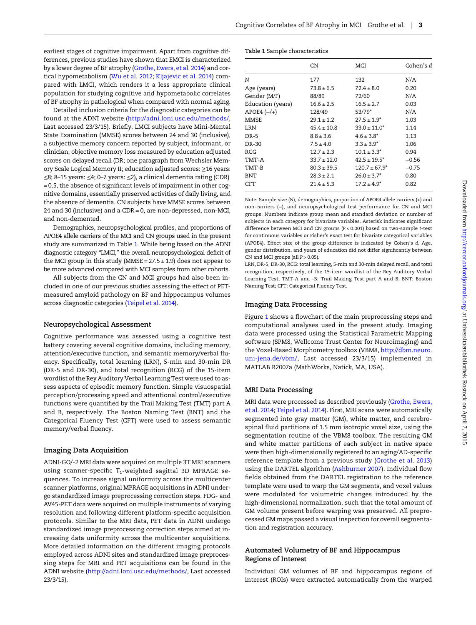earliest stages of cognitive impairment. Apart from cognitive differences, previous studies have shown that EMCI is characterized by a lower degree of BF atrophy ([Grothe, Ewers, et al. 2014](#page-12-0)) and cortical hypometabolism [\(Wu et al. 2012;](#page-15-0) [Kljajevic et al. 2014](#page-13-0)) compared with LMCI, which renders it a less appropriate clinical population for studying cognitive and hypometabolic correlates of BF atrophy in pathological when compared with normal aging.

Detailed inclusion criteria for the diagnostic categories can be found at the ADNI website ([http://adni.loni.usc.edu/methods/,](http://adni.loni.usc.edu/methods/) Last accessed 23/3/15). Briefly, LMCI subjects have Mini-Mental State Examination (MMSE) scores between 24 and 30 (inclusive), a subjective memory concern reported by subject, informant, or clinician, objective memory loss measured by education adjusted scores on delayed recall (DR; one paragraph from Wechsler Memory Scale Logical Memory II; education adjusted scores: ≥16 years: ≤8; 8–15 years: ≤4; 0–7 years: ≤2), a clinical dementia rating (CDR) = 0.5, the absence of significant levels of impairment in other cognitive domains, essentially preserved activities of daily living, and the absence of dementia. CN subjects have MMSE scores between 24 and 30 (inclusive) and a CDR = 0, are non-depressed, non-MCI, and non-demented.

Demographics, neuropsychological profiles, and proportions of APOE4 allele carriers of the MCI and CN groups used in the present study are summarized in Table 1. While being based on the ADNI diagnostic category "LMCI," the overall neuropsychological deficit of the MCI group in this study (MMSE =  $27.5 \pm 1.9$ ) does not appear to be more advanced compared with MCI samples from other cohorts.

All subjects from the CN and MCI groups had also been included in one of our previous studies assessing the effect of PETmeasured amyloid pathology on BF and hippocampus volumes across diagnostic categories ([Teipel et al. 2014\)](#page-14-0).

#### Neuropsychological Assessment

Cognitive performance was assessed using a cognitive test battery covering several cognitive domains, including memory, attention/executive function, and semantic memory/verbal fluency. Specifically, total learning (LRN), 5-min and 30-min DR (DR-5 and DR-30), and total recognition (RCG) of the 15-item wordlist of the Rey Auditory Verbal Learning Test were used to assess aspects of episodic memory function. Simple visuospatial perception/processing speed and attentional control/executive functions were quantified by the Trail Making Test (TMT) part A and B, respectively. The Boston Naming Test (BNT) and the Categorical Fluency Test (CFT) were used to assess semantic memory/verbal fluency.

#### Imaging Data Acquisition

ADNI-GO/-2 MRI data were acquired on multiple 3T MRI scanners using scanner-specific  $T_1$ -weighted sagittal 3D MPRAGE sequences. To increase signal uniformity across the multicenter scanner platforms, original MPRAGE acquisitions in ADNI undergo standardized image preprocessing correction steps. FDG- and AV45-PET data were acquired on multiple instruments of varying resolution and following different platform-specific acquisition protocols. Similar to the MRI data, PET data in ADNI undergo standardized image preprocessing correction steps aimed at increasing data uniformity across the multicenter acquisitions. More detailed information on the different imaging protocols employed across ADNI sites and standardized image preprocessing steps for MRI and PET acquisitions can be found in the ADNI website (<http://adni.loni.usc.edu/methods/>, Last accessed 23/3/15).

Table 1 Sample characteristics

|                   | CΝ              | MCI                | Cohen's d |
|-------------------|-----------------|--------------------|-----------|
| N                 | 177             | 132                | N/A       |
| Age (years)       | $73.8 + 6.5$    | $72.4 \pm 8.0$     | 0.20      |
| Gender (M/F)      | 88/89           | 72/60              | N/A       |
| Education (years) | $16.6 \pm 2.5$  | $16.5 + 2.7$       | 0.03      |
| APOE4 $(-/+)$     | 128/49          | 53/79*             | N/A       |
| <b>MMSE</b>       | $29.1 \pm 1.2$  | $27.5 \pm 1.9^*$   | 1.03      |
| LRN               | $45.4 \pm 10.8$ | $33.0 \pm 11.0^*$  | 1.14      |
| DR-5              | $8.8 \pm 3.6$   | $4.6 \pm 3.8^*$    | 1.13      |
| DR-30             | $7.5 \pm 4.0$   | $3.3 + 3.9^*$      | 1.06      |
| <b>RCG</b>        | $12.7 \pm 2.3$  | $10.1 \pm 3.3^*$   | 0.94      |
| TMT-A             | $33.7 \pm 12.0$ | $42.5 \pm 19.5^*$  | $-0.56$   |
| TMT-B             | $80.3 + 39.5$   | $120.7 \pm 67.9^*$ | $-0.75$   |
| <b>BNT</b>        | $28.3 + 2.1$    | $26.0 \pm 3.7^*$   | 0.80      |
| <b>CFT</b>        | $21.4 + 5.3$    | $17.2 \pm 4.9^*$   | 0.82      |

Note: Sample size (N), demographics, proportion of APOE4 allele carriers (+) and non-carriers (−), and neuropsychological test performance for CN and MCI groups. Numbers indicate group mean and standard deviation or number of subjects in each category for bivariate variables. Asterisk indicates significant difference between MCI and CN groups (P < 0.001) based on two-sample t-test for continuous variables or Fisher's exact test for bivariate categorical variables (APOE4). Effect size of the group difference is indicated by Cohen's d. Age, gender distribution, and years of education did not differ significantly between CN and MCI groups (all  $P > 0.05$ ).

LRN, DR-5, DR-30, RCG: total learning, 5-min and 30-min delayed recall, and total recognition, respectively, of the 15-item wordlist of the Rey Auditory Verbal Learning Test; TMT-A and -B: Trail Making Test part A and B; BNT: Boston Naming Test; CFT: Categorical Fluency Test.

#### Imaging Data Processing

Figure [1](#page-3-0) shows a flowchart of the main preprocessing steps and computational analyses used in the present study. Imaging data were processed using the Statistical Parametric Mapping software (SPM8, Wellcome Trust Center for Neuroimaging) and the Voxel-Based Morphometry toolbox (VBM8, [http://dbm.neuro.](http://dbm.neuro.uni-jena.de/vbm/) [uni-jena.de/vbm/](http://dbm.neuro.uni-jena.de/vbm/), Last accessed 23/3/15) implemented in MATLAB R2007a (MathWorks, Natick, MA, USA).

#### MRI Data Processing

MRI data were processed as described previously [\(Grothe, Ewers,](#page-12-0) [et al. 2014](#page-12-0); [Teipel et al. 2014](#page-14-0)). First, MRI scans were automatically segmented into gray matter (GM), white matter, and cerebrospinal fluid partitions of 1.5 mm isotropic voxel size, using the segmentation routine of the VBM8 toolbox. The resulting GM and white matter partitions of each subject in native space were then high-dimensionally registered to an aging/AD-specific reference template from a previous study ([Grothe et al. 2013](#page-12-0)) using the DARTEL algorithm [\(Ashburner 2007](#page-11-0)). Individual flow fields obtained from the DARTEL registration to the reference template were used to warp the GM segments, and voxel values were modulated for volumetric changes introduced by the high-dimensional normalization, such that the total amount of GM volume present before warping was preserved. All preprocessed GM maps passed a visual inspection for overall segmentation and registration accuracy.

# Automated Volumetry of BF and Hippocampus Regions of Interest

Individual GM volumes of BF and hippocampus regions of interest (ROIs) were extracted automatically from the warped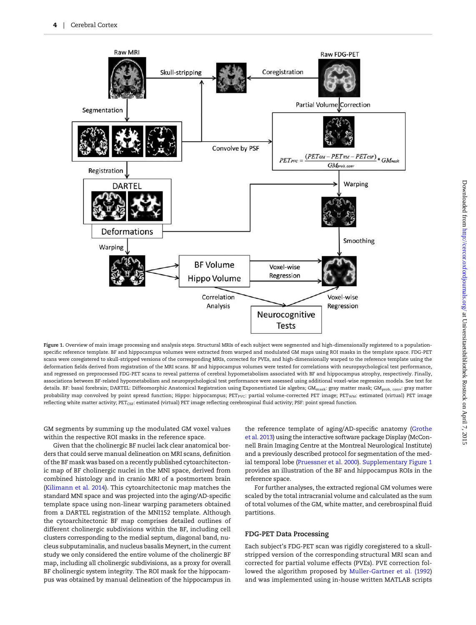<span id="page-3-0"></span>

Figure 1. Overview of main image processing and analysis steps. Structural MRIs of each subject were segmented and high-dimensionally registered to a populationspecific reference template. BF and hippocampus volumes were extracted from warped and modulated GM maps using ROI masks in the template space. FDG-PET scans were coregistered to skull-stripped versions of the corresponding MRIs, corrected for PVEs, and high-dimensionally warped to the reference template using the deformation fields derived from registration of the MRI scans. BF and hippocampus volumes were tested for correlations with neuropsychological test performance, and regressed on preprocessed FDG-PET scans to reveal patterns of cerebral hypometabolism associated with BF and hippocampus atrophy, respectively. Finally, associations between BF-related hypometabolism and neuropsychological test performance were assessed using additional voxel-wise regression models. See text for details. BF: basal forebrain; DARTEL: Diffeomorphic Anatomical Registration using Exponentiated Lie algebra; GMmask: gray matter mask; GMprob, conv: gray matter probability map convolved by point spread function; Hippo: hippocampus; PET<sub>PVC</sub>: partial volume-corrected PET image; PET<sub>WM</sub>: estimated (virtual) PET image reflecting white matter activity; PET<sub>CSF</sub>: estimated (virtual) PET image reflecting cerebrospinal fluid activity; PSF: point spread function.

GM segments by summing up the modulated GM voxel values within the respective ROI masks in the reference space.

Given that the cholinergic BF nuclei lack clear anatomical borders that could serve manual delineation on MRI scans, definition of the BF mask was based on a recently published cytoarchitectonic map of BF cholinergic nuclei in the MNI space, derived from combined histology and in cranio MRI of a postmortem brain ([Kilimann et al. 2014](#page-13-0)). This cytoarchitectonic map matches the standard MNI space and was projected into the aging/AD-specific template space using non-linear warping parameters obtained from a DARTEL registration of the MNI152 template. Although the cytoarchitectonic BF map comprises detailed outlines of different cholinergic subdivisions within the BF, including cell clusters corresponding to the medial septum, diagonal band, nucleus subputaminalis, and nucleus basalis Meynert, in the current study we only considered the entire volume of the cholinergic BF map, including all cholinergic subdivisions, as a proxy for overall BF cholinergic system integrity. The ROI mask for the hippocampus was obtained by manual delineation of the hippocampus in

the reference template of aging/AD-specific anatomy ([Grothe](#page-12-0) [et al. 2013](#page-12-0)) using the interactive software package Display (McConnell Brain Imaging Centre at the Montreal Neurological Institute) and a previously described protocol for segmentation of the medial temporal lobe ([Pruessner et al. 2000](#page-14-0)). [Supplementary Figure 1](http://cercor.oxfordjournals.org/lookup/suppl/doi:10.1093/cercor/bhv062/-/DC1) provides an illustration of the BF and hippocampus ROIs in the reference space.

For further analyses, the extracted regional GM volumes were scaled by the total intracranial volume and calculated as the sum of total volumes of the GM, white matter, and cerebrospinal fluid partitions.

#### FDG-PET Data Processing

Each subject's FDG-PET scan was rigidly coregistered to a skullstripped version of the corresponding structural MRI scan and corrected for partial volume effects (PVEs). PVE correction followed the algorithm proposed by [Muller-Gartner et al. \(1992](#page-14-0)) and was implemented using in-house written MATLAB scripts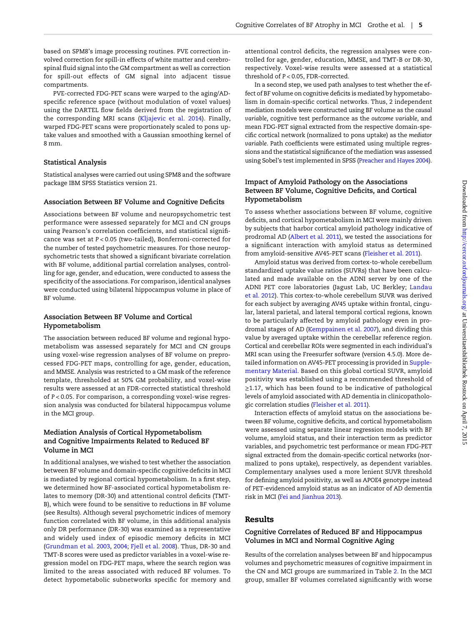based on SPM8's image processing routines. PVE correction involved correction for spill-in effects of white matter and cerebrospinal fluid signal into the GM compartment as well as correction for spill-out effects of GM signal into adjacent tissue compartments.

PVE-corrected FDG-PET scans were warped to the aging/ADspecific reference space (without modulation of voxel values) using the DARTEL flow fields derived from the registration of the corresponding MRI scans [\(Kljajevic et al. 2014\)](#page-13-0). Finally, warped FDG-PET scans were proportionately scaled to pons uptake values and smoothed with a Gaussian smoothing kernel of 8 mm.

#### Statistical Analysis

Statistical analyses were carried out using SPM8 and the software package IBM SPSS Statistics version 21.

#### Association Between BF Volume and Cognitive Deficits

Associations between BF volume and neuropsychometric test performance were assessed separately for MCI and CN groups using Pearson's correlation coefficients, and statistical significance was set at P < 0.05 (two-tailed), Bonferroni-corrected for the number of tested psychometric measures. For those neuropsychometric tests that showed a significant bivariate correlation with BF volume, additional partial correlation analyses, controlling for age, gender, and education, were conducted to assess the specificity of the associations. For comparison, identical analyses were conducted using bilateral hippocampus volume in place of BF volume.

## Association Between BF Volume and Cortical Hypometabolism

The association between reduced BF volume and regional hypometabolism was assessed separately for MCI and CN groups using voxel-wise regression analyses of BF volume on preprocessed FDG-PET maps, controlling for age, gender, education, and MMSE. Analysis was restricted to a GM mask of the reference template, thresholded at 50% GM probability, and voxel-wise results were assessed at an FDR-corrected statistical threshold of P < 0.05. For comparison, a corresponding voxel-wise regression analysis was conducted for bilateral hippocampus volume in the MCI group.

#### Mediation Analysis of Cortical Hypometabolism and Cognitive Impairments Related to Reduced BF Volume in MCI

In additional analyses, we wished to test whether the association between BF volume and domain-specific cognitive deficits in MCI is mediated by regional cortical hypometabolism. In a first step, we determined how BF-associated cortical hypometabolism relates to memory (DR-30) and attentional control deficits (TMT-B), which were found to be sensitive to reductions in BF volume (see Results). Although several psychometric indices of memory function correlated with BF volume, in this additional analysis only DR performance (DR-30) was examined as a representative and widely used index of episodic memory deficits in MCI ([Grundman et al. 2003,](#page-12-0) [2004](#page-12-0); [Fjell et al. 2008\)](#page-12-0). Thus, DR-30 and TMT-B scores were used as predictor variables in a voxel-wise regression model on FDG-PET maps, where the search region was limited to the areas associated with reduced BF volumes. To detect hypometabolic subnetworks specific for memory and

attentional control deficits, the regression analyses were controlled for age, gender, education, MMSE, and TMT-B or DR-30, respectively. Voxel-wise results were assessed at a statistical threshold of P < 0.05, FDR-corrected.

In a second step, we used path analyses to test whether the effect of BF volume on cognitive deficits is mediated by hypometabolism in domain-specific cortical networks. Thus, 2 independent mediation models were constructed using BF volume as the causal variable, cognitive test performance as the outcome variable, and mean FDG-PET signal extracted from the respective domain-specific cortical network (normalized to pons uptake) as the mediator variable. Path coefficients were estimated using multiple regressions and the statistical significance of the mediation was assessed using Sobel's test implemented in SPSS [\(Preacher and Hayes 2004](#page-14-0)).

## Impact of Amyloid Pathology on the Associations Between BF Volume, Cognitive Deficits, and Cortical Hypometabolism

To assess whether associations between BF volume, cognitive deficits, and cortical hypometabolism in MCI were mainly driven by subjects that harbor cortical amyloid pathology indicative of prodromal AD [\(Albert et al. 2011\)](#page-11-0), we tested the associations for a significant interaction with amyloid status as determined from amyloid-sensitive AV45-PET scans [\(Fleisher et al. 2011\)](#page-12-0).

Amyloid status was derived from cortex-to-whole cerebellum standardized uptake value ratios (SUVRs) that have been calculated and made available on the ADNI server by one of the ADNI PET core laboratories (Jagust Lab, UC Berkley; [Landau](#page-13-0) [et al. 2012\)](#page-13-0). This cortex-to-whole cerebellum SUVR was derived for each subject by averaging AV45 uptake within frontal, cingular, lateral parietal, and lateral temporal cortical regions, known to be particularly affected by amyloid pathology even in prodromal stages of AD [\(Kemppainen et al. 2007\)](#page-13-0), and dividing this value by averaged uptake within the cerebellar reference region. Cortical and cerebellar ROIs were segmented in each individual's MRI scan using the Freesurfer software (version 4.5.0). More de-tailed information on AV45-PET processing is provided in [Supple](http://cercor.oxfordjournals.org/lookup/suppl/doi:10.1093/cercor/bhv062/-/DC1)[mentary Material](http://cercor.oxfordjournals.org/lookup/suppl/doi:10.1093/cercor/bhv062/-/DC1). Based on this global cortical SUVR, amyloid positivity was established using a recommended threshold of ≥1.17, which has been found to be indicative of pathological levels of amyloid associated with AD dementia in clinicopathologic correlation studies ([Fleisher et al. 2011](#page-12-0)).

Interaction effects of amyloid status on the associations between BF volume, cognitive deficits, and cortical hypometabolism were assessed using separate linear regression models with BF volume, amyloid status, and their interaction term as predictor variables, and psychometric test performance or mean FDG-PET signal extracted from the domain-specific cortical networks (normalized to pons uptake), respectively, as dependent variables. Complementary analyses used a more lenient SUVR threshold for defining amyloid positivity, as well as APOE4 genotype instead of PET-evidenced amyloid status as an indicator of AD dementia risk in MCI [\(Fei and Jianhua 2013](#page-12-0)).

## Results

#### Cognitive Correlates of Reduced BF and Hippocampus Volumes in MCI and Normal Cognitive Aging

Results of the correlation analyses between BF and hippocampus volumes and psychometric measures of cognitive impairment in the CN and MCI groups are summarized in Table [2.](#page-5-0) In the MCI group, smaller BF volumes correlated significantly with worse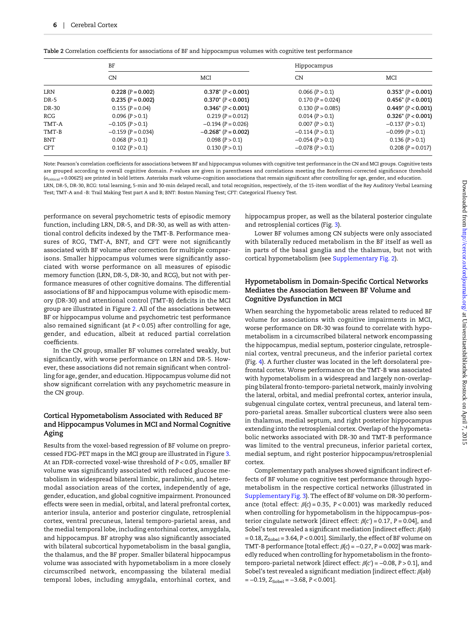|             | BF                    |                                   | Hippocampus           |                       |
|-------------|-----------------------|-----------------------------------|-----------------------|-----------------------|
|             | <b>CN</b>             | MCI                               | CN                    | MCI                   |
| LRN         | $0.228 (P = 0.002)$   | $0.378*$ (P < 0.001)              | 0.066 (P > 0.1)       | $0.353*$ (P < 0.001)  |
| <b>DR-5</b> | $0.235 (P = 0.002)$   | $0.370*$ (P < 0.001)              | $0.170$ (P = 0.024)   | $0.456*$ (P < 0.001)  |
| DR-30       | $0.155 (P = 0.04)$    | $0.346^{*}$ (P < 0.001)           | $0.130 (P = 0.085)$   | $0.449*$ (P < 0.001)  |
| RCG         | 0.096 (P > 0.1)       | $0.219 (P = 0.012)$               | 0.014 (P > 0.1)       | $0.326*$ (P < 0.001)  |
| TMT-A       | $-0.105$ (P $> 0.1$ ) | $-0.194$ (P = 0.026)              | 0.007 (P > 0.1)       | $-0.137$ (P $> 0.1$ ) |
| TMT-B       | $-0.159$ (P = 0.034)  | $-0.268$ <sup>*</sup> (P = 0.002) | $-0.114 (P > 0.1)$    | $-0.099$ (P $> 0.1$ ) |
| BNT         | 0.068 (P > 0.1)       | 0.098 (P > 0.1)                   | $-0.054$ (P $> 0.1$ ) | 0.136 (P > 0.1)       |
| CFT         | 0.102 (P > 0.1)       | 0.130 (P > 0.1)                   | $-0.078$ (P $> 0.1$ ) | $0.208 (P = 0.017)$   |

<span id="page-5-0"></span>Table 2 Correlation coefficients for associations of BF and hippocampus volumes with cognitive test performance

Note: Pearson's correlation coefficients for associations between BF and hippocampus volumes with cognitive test performance in the CN and MCI groups. Cognitive tests are grouped according to overall cognitive domain. P-values are given in parentheses and correlations meeting the Bonferroni-corrected significance threshold (αcritical = 0.00625) are printed in bold letters. Asterisks mark volume–cognition associations that remain significant after controlling for age, gender, and education. LRN, DR-5, DR-30, RCG: total learning, 5-min and 30-min delayed recall, and total recognition, respectively, of the 15-item wordlist of the Rey Auditory Verbal Learning Test; TMT-A and -B: Trail Making Test part A and B; BNT: Boston Naming Test; CFT: Categorical Fluency Test.

performance on several psychometric tests of episodic memory function, including LRN, DR-5, and DR-30, as well as with attentional control deficits indexed by the TMT-B. Performance measures of RCG, TMT-A, BNT, and CFT were not significantly associated with BF volume after correction for multiple comparisons. Smaller hippocampus volumes were significantly associated with worse performance on all measures of episodic memory function (LRN, DR-5, DR-30, and RCG), but not with performance measures of other cognitive domains. The differential associations of BF and hippocampus volume with episodic memory (DR-30) and attentional control (TMT-B) deficits in the MCI group are illustrated in Figure [2.](#page-6-0) All of the associations between BF or hippocampus volume and psychometric test performance also remained significant (at  $P < 0.05$ ) after controlling for age, gender, and education, albeit at reduced partial correlation coefficients.

In the CN group, smaller BF volumes correlated weakly, but significantly, with worse performance on LRN and DR-5. However, these associations did not remain significant when controlling for age, gender, and education. Hippocampus volume did not show significant correlation with any psychometric measure in the CN group.

# Cortical Hypometabolism Associated with Reduced BF and Hippocampus Volumes in MCI and Normal Cognitive Aging

Results from the voxel-based regression of BF volume on preprocessed FDG-PET maps in the MCI group are illustrated in Figure [3.](#page-7-0) At an FDR-corrected voxel-wise threshold of P < 0.05, smaller BF volume was significantly associated with reduced glucose metabolism in widespread bilateral limbic, paralimbic, and heteromodal association areas of the cortex, independently of age, gender, education, and global cognitive impairment. Pronounced effects were seen in medial, orbital, and lateral prefrontal cortex, anterior insula, anterior and posterior cingulate, retrosplenial cortex, ventral precuneus, lateral temporo-parietal areas, and the medial temporal lobe, including entorhinal cortex, amygdala, and hippocampus. BF atrophy was also significantly associated with bilateral subcortical hypometabolism in the basal ganglia, the thalamus, and the BF proper. Smaller bilateral hippocampus volume was associated with hypometabolism in a more closely circumscribed network, encompassing the bilateral medial temporal lobes, including amygdala, entorhinal cortex, and

hippocampus proper, as well as the bilateral posterior cingulate and retrosplenial cortices (Fig. [3\)](#page-7-0).

Lower BF volumes among CN subjects were only associated with bilaterally reduced metabolism in the BF itself as well as in parts of the basal ganglia and the thalamus, but not with cortical hypometabolism (see [Supplementary Fig. 2\)](http://cercor.oxfordjournals.org/lookup/suppl/doi:10.1093/cercor/bhv062/-/DC1).

# Hypometabolism in Domain-Specific Cortical Networks Mediates the Association Between BF Volume and Cognitive Dysfunction in MCI

When searching the hypometabolic areas related to reduced BF volume for associations with cognitive impairments in MCI, worse performance on DR-30 was found to correlate with hypometabolism in a circumscribed bilateral network encompassing the hippocampus, medial septum, posterior cingulate, retrosplenial cortex, ventral precuneus, and the inferior parietal cortex (Fig. [4\)](#page-8-0). A further cluster was located in the left dorsolateral prefrontal cortex. Worse performance on the TMT-B was associated with hypometabolism in a widespread and largely non-overlapping bilateral fronto-temporo-parietal network, mainly involving the lateral, orbital, and medial prefrontal cortex, anterior insula, subgenual cingulate cortex, ventral precuneus, and lateral temporo-parietal areas. Smaller subcortical clusters were also seen in thalamus, medial septum, and right posterior hippocampus extending into the retrosplenial cortex. Overlap of the hypometabolic networks associated with DR-30 and TMT-B performance was limited to the ventral precuneus, inferior parietal cortex, medial septum, and right posterior hippocampus/retrosplenial cortex.

Complementary path analyses showed significant indirect effects of BF volume on cognitive test performance through hypometabolism in the respective cortical networks (illustrated in [Supplementary Fig. 3\)](http://cercor.oxfordjournals.org/lookup/suppl/doi:10.1093/cercor/bhv062/-/DC1). The effect of BF volume on DR-30 performance (total effect:  $\beta(c) = 0.35$ , P < 0.001) was markedly reduced when controlling for hypometabolism in the hippocampus–posterior cingulate network [direct effect:  $\beta(c') = 0.17$ , P = 0.04], and Sobel's test revealed a significant mediation [indirect effect:  $\beta(ab)$  $= 0.18$ ,  $Z_{Sobel} = 3.64$ ,  $P < 0.001$ ]. Similarly, the effect of BF volume on TMT-B performance [total effect:  $\beta(c) = -0.27$ , P = 0.002] was markedly reduced when controlling for hypometabolism in the frontotemporo-parietal network [direct effect:  $\beta$ (c') = -0.08, P > 0.1], and Sobel's test revealed a significant mediation [indirect effect:  $\beta(ab)$  $=-0.19, Z_{\text{Sobel}} = -3.68, P < 0.001$ .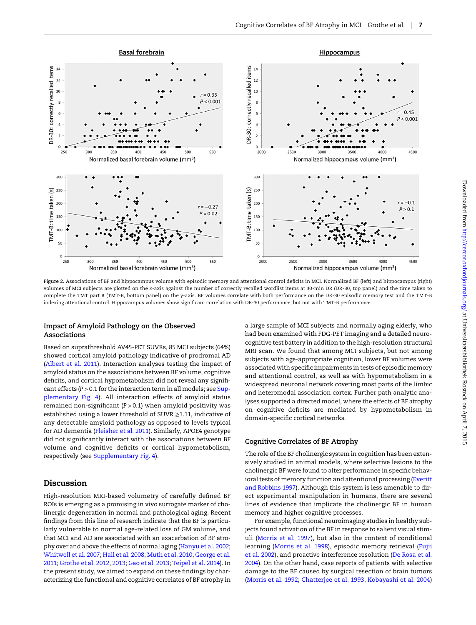<span id="page-6-0"></span>

Figure 2. Associations of BF and hippocampus volume with episodic memory and attentional control deficits in MCI. Normalized BF (left) and hippocampus (right) volumes of MCI subjects are plotted on the x-axis against the number of correctly recalled wordlist items at 30-min DR (DR-30, top panel) and the time taken to complete the TMT part B (TMT-B, bottom panel) on the y-axis. BF volumes correlate with both performance on the DR-30 episodic memory test and the TMT-B indexing attentional control. Hippocampus volumes show significant correlation with DR-30 performance, but not with TMT-B performance.

## Impact of Amyloid Pathology on the Observed Associations

Based on suprathreshold AV45-PET SUVRs, 85 MCI subjects (64%) showed cortical amyloid pathology indicative of prodromal AD ([Albert et al. 2011\)](#page-11-0). Interaction analyses testing the impact of amyloid status on the associations between BF volume, cognitive deficits, and cortical hypometabolism did not reveal any significant effects ( $P > 0.1$  for the interaction term in all models; see [Sup](http://cercor.oxfordjournals.org/lookup/suppl/doi:10.1093/cercor/bhv062/-/DC1)[plementary Fig. 4](http://cercor.oxfordjournals.org/lookup/suppl/doi:10.1093/cercor/bhv062/-/DC1)). All interaction effects of amyloid status remained non-significant  $(P > 0.1)$  when amyloid positivity was established using a lower threshold of SUVR ≥1.11, indicative of any detectable amyloid pathology as opposed to levels typical for AD dementia [\(Fleisher et al. 2011](#page-12-0)). Similarly, APOE4 genotype did not significantly interact with the associations between BF volume and cognitive deficits or cortical hypometabolism, respectively (see [Supplementary Fig. 4](http://cercor.oxfordjournals.org/lookup/suppl/doi:10.1093/cercor/bhv062/-/DC1)).

# Discussion

High-resolution MRI-based volumetry of carefully defined BF ROIs is emerging as a promising in vivo surrogate marker of cholinergic degeneration in normal and pathological aging. Recent findings from this line of research indicate that the BF is particularly vulnerable to normal age-related loss of GM volume, and that MCI and AD are associated with an exacerbation of BF atrophy over and above the effects of normal aging ([Hanyu et al. 2002;](#page-13-0) [Whitwell et al. 2007](#page-15-0); [Hall et al. 2008;](#page-13-0) [Muth et al. 2010;](#page-14-0) [George et al.](#page-12-0) [2011](#page-12-0); [Grothe et al. 2012,](#page-12-0) [2013](#page-12-0); [Gao et al. 2013](#page-12-0); [Teipel et al. 2014](#page-14-0)). In the present study, we aimed to expand on these findings by characterizing the functional and cognitive correlates of BF atrophy in a large sample of MCI subjects and normally aging elderly, who had been examined with FDG-PET imaging and a detailed neurocognitive test battery in addition to the high-resolution structural MRI scan. We found that among MCI subjects, but not among subjects with age-appropriate cognition, lower BF volumes were associated with specific impairments in tests of episodic memory and attentional control, as well as with hypometabolism in a widespread neuronal network covering most parts of the limbic and heteromodal association cortex. Further path analytic analyses supported a directed model, where the effects of BF atrophy on cognitive deficits are mediated by hypometabolism in domain-specific cortical networks.

## Cognitive Correlates of BF Atrophy

The role of the BF cholinergic system in cognition has been extensively studied in animal models, where selective lesions to the cholinergic BF were found to alter performance in specific behavioral tests of memory function and attentional processing ([Everitt](#page-12-0) [and Robbins 1997](#page-12-0)). Although this system is less amenable to direct experimental manipulation in humans, there are several lines of evidence that implicate the cholinergic BF in human memory and higher cognitive processes.

For example, functional neuroimaging studies in healthy subjects found activation of the BF in response to salient visual stimuli [\(Morris et al. 1997\)](#page-13-0), but also in the context of conditional learning ([Morris et al. 1998](#page-13-0)), episodic memory retrieval [\(Fujii](#page-12-0) [et al. 2002\)](#page-12-0), and proactive interference resolution [\(De Rosa et al.](#page-12-0) [2004](#page-12-0)). On the other hand, case reports of patients with selective damage to the BF caused by surgical resection of brain tumors ([Morris et al. 1992;](#page-13-0) [Chatterjee et al. 1993;](#page-12-0) [Kobayashi et al. 2004](#page-13-0))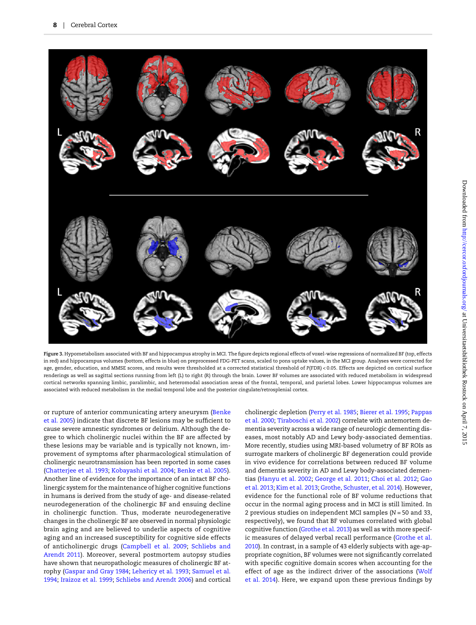<span id="page-7-0"></span>

Figure 3. Hypometabolism associated with BF and hippocampus atrophy in MCI. The figure depicts regional effects of voxel-wise regressions of normalized BF (top, effects in red) and hippocampus volumes (bottom, effects in blue) on preprocessed FDG-PET scans, scaled to pons uptake values, in the MCI group. Analyses were corrected for age, gender, education, and MMSE scores, and results were thresholded at a corrected statistical threshold of P(FDR) < 0.05. Effects are depicted on cortical surface renderings as well as sagittal sections running from left (L) to right (R) through the brain. Lower BF volumes are associated with reduced metabolism in widespread cortical networks spanning limbic, paralimbic, and heteromodal association areas of the frontal, temporal, and parietal lobes. Lower hippocampus volumes are associated with reduced metabolism in the medial temporal lobe and the posterior cingulate/retrosplenial cortex.

or rupture of anterior communicating artery aneurysm ([Benke](#page-11-0) [et al. 2005\)](#page-11-0) indicate that discrete BF lesions may be sufficient to cause severe amnestic syndromes or delirium. Although the degree to which cholinergic nuclei within the BF are affected by these lesions may be variable and is typically not known, improvement of symptoms after pharmacological stimulation of cholinergic neurotransmission has been reported in some cases ([Chatterjee et al. 1993](#page-12-0); [Kobayashi et al. 2004;](#page-13-0) [Benke et al. 2005](#page-11-0)). Another line of evidence for the importance of an intact BF cholinergic system for the maintenance of higher cognitive functions in humans is derived from the study of age- and disease-related neurodegeneration of the cholinergic BF and ensuing decline in cholinergic function. Thus, moderate neurodegenerative changes in the cholinergic BF are observed in normal physiologic brain aging and are believed to underlie aspects of cognitive aging and an increased susceptibility for cognitive side effects of anticholinergic drugs ([Campbell et al. 2009;](#page-12-0) [Schliebs and](#page-14-0) [Arendt 2011\)](#page-14-0). Moreover, several postmortem autopsy studies have shown that neuropathologic measures of cholinergic BF atrophy ([Gaspar and Gray 1984](#page-12-0); [Lehericy et al. 1993](#page-13-0); [Samuel et al.](#page-14-0) [1994;](#page-14-0) [Iraizoz et al. 1999;](#page-13-0) [Schliebs and Arendt 2006\)](#page-14-0) and cortical cholinergic depletion ([Perry et al. 1985](#page-14-0); [Bierer et al. 1995;](#page-12-0) [Pappas](#page-14-0) [et al. 2000;](#page-14-0) [Tiraboschi et al. 2002\)](#page-14-0) correlate with antemortem dementia severity across a wide range of neurologic dementing diseases, most notably AD and Lewy body-associated dementias. More recently, studies using MRI-based volumetry of BF ROIs as surrogate markers of cholinergic BF degeneration could provide in vivo evidence for correlations between reduced BF volume and dementia severity in AD and Lewy body-associated dementias ([Hanyu et al. 2002;](#page-13-0) [George et al. 2011](#page-12-0); [Choi et al. 2012;](#page-12-0) [Gao](#page-12-0) [et al. 2013](#page-12-0); [Kim et al. 2013;](#page-13-0) [Grothe, Schuster, et al. 2014\)](#page-12-0). However, evidence for the functional role of BF volume reductions that occur in the normal aging process and in MCI is still limited. In 2 previous studies on independent MCI samples (N = 50 and 33, respectively), we found that BF volumes correlated with global cognitive function [\(Grothe et al. 2013\)](#page-12-0) as well as with more specif-ic measures of delayed verbal recall performance ([Grothe et al.](#page-12-0) [2010](#page-12-0)). In contrast, in a sample of 43 elderly subjects with age-appropriate cognition, BF volumes were not significantly correlated with specific cognitive domain scores when accounting for the effect of age as the indirect driver of the associations ([Wolf](#page-15-0) [et al. 2014](#page-15-0)). Here, we expand upon these previous findings by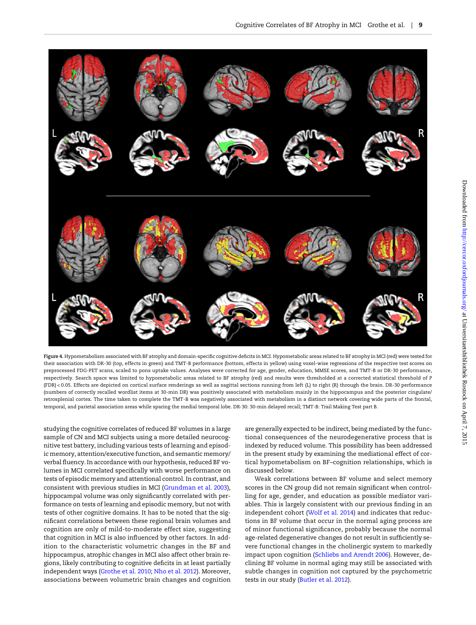<span id="page-8-0"></span>

Figure 4. Hypometabolism associated with BF atrophy and domain-specific cognitive deficits in MCI. Hypometabolic areas related to BF atrophy in MCI (red) were tested for their association with DR-30 (top, effects in green) and TMT-B performance (bottom, effects in yellow) using voxel-wise regressions of the respective test scores on preprocessed FDG-PET scans, scaled to pons uptake values. Analyses were corrected for age, gender, education, MMSE scores, and TMT-B or DR-30 performance, respectively. Search space was limited to hypometabolic areas related to BF atrophy (red) and results were thresholded at a corrected statistical threshold of P (FDR) < 0.05. Effects are depicted on cortical surface renderings as well as sagittal sections running from left (L) to right (R) through the brain. DR-30 performance (numbers of correctly recalled wordlist items at 30-min DR) was positively associated with metabolism mainly in the hippocampus and the posterior cingulate/ retrosplenial cortex. The time taken to complete the TMT-B was negatively associated with metabolism in a distinct network covering wide parts of the frontal, temporal, and parietal association areas while sparing the medial temporal lobe. DR-30: 30-min delayed recall; TMT-B: Trail Making Test part B.

studying the cognitive correlates of reduced BF volumes in a large sample of CN and MCI subjects using a more detailed neurocognitive test battery, including various tests of learning and episodic memory, attention/executive function, and semantic memory/ verbal fluency. In accordance with our hypothesis, reduced BF volumes in MCI correlated specifically with worse performance on tests of episodic memory and attentional control. In contrast, and consistent with previous studies in MCI [\(Grundman et al. 2003](#page-12-0)), hippocampal volume was only significantly correlated with performance on tests of learning and episodic memory, but not with tests of other cognitive domains. It has to be noted that the significant correlations between these regional brain volumes and cognition are only of mild-to-moderate effect size, suggesting that cognition in MCI is also influenced by other factors. In addition to the characteristic volumetric changes in the BF and hippocampus, atrophic changes in MCI also affect other brain regions, likely contributing to cognitive deficits in at least partially independent ways ([Grothe et al. 2010;](#page-12-0) [Nho et al. 2012](#page-14-0)). Moreover, associations between volumetric brain changes and cognition

are generally expected to be indirect, being mediated by the functional consequences of the neurodegenerative process that is indexed by reduced volume. This possibility has been addressed in the present study by examining the mediational effect of cortical hypometabolism on BF–cognition relationships, which is discussed below.

Weak correlations between BF volume and select memory scores in the CN group did not remain significant when controlling for age, gender, and education as possible mediator variables. This is largely consistent with our previous finding in an independent cohort [\(Wolf et al. 2014\)](#page-15-0) and indicates that reductions in BF volume that occur in the normal aging process are of minor functional significance, probably because the normal age-related degenerative changes do not result in sufficiently severe functional changes in the cholinergic system to markedly impact upon cognition [\(Schliebs and Arendt 2006](#page-14-0)). However, declining BF volume in normal aging may still be associated with subtle changes in cognition not captured by the psychometric tests in our study ([Butler et al. 2012](#page-12-0)).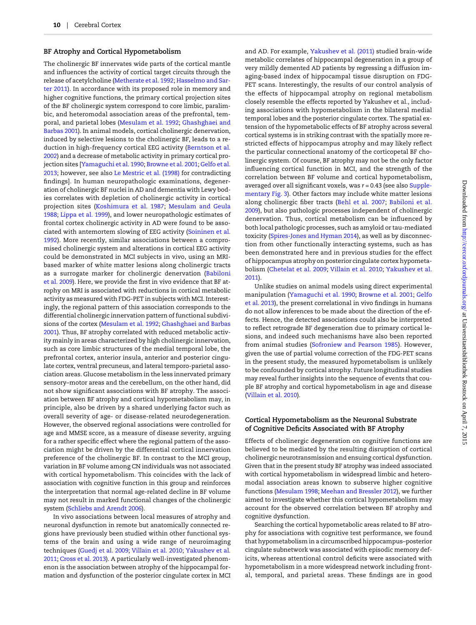#### BF Atrophy and Cortical Hypometabolism

The cholinergic BF innervates wide parts of the cortical mantle and influences the activity of cortical target circuits through the release of acetylcholine [\(Metherate et al. 1992](#page-13-0); [Hasselmo and Sar](#page-13-0)[ter 2011](#page-13-0)). In accordance with its proposed role in memory and higher cognitive functions, the primary cortical projection sites of the BF cholinergic system correspond to core limbic, paralimbic, and heteromodal association areas of the prefrontal, temporal, and parietal lobes ([Mesulam et al. 1992;](#page-13-0) [Ghashghaei and](#page-12-0) [Barbas 2001\)](#page-12-0). In animal models, cortical cholinergic denervation, induced by selective lesions to the cholinergic BF, leads to a reduction in high-frequency cortical EEG activity [\(Berntson et al.](#page-11-0) [2002](#page-11-0)) and a decrease of metabolic activity in primary cortical projection sites [[Yamaguchi et al. 1990;](#page-15-0) [Browne et al. 2001;](#page-12-0) [Gelfo et al.](#page-12-0) [2013](#page-12-0); however, see also [Le Mestric et al. \(1998\)](#page-13-0) for contradicting findings]. In human neuropathologic examinations, degeneration of cholinergic BF nuclei in AD and dementia with Lewy bodies correlates with depletion of cholinergic activity in cortical projection sites ([Koshimura et al. 1987](#page-13-0); [Mesulam and Geula](#page-13-0) [1988](#page-13-0); [Lippa et al. 1999](#page-13-0)), and lower neuropathologic estimates of frontal cortex cholinergic activity in AD were found to be associated with antemortem slowing of EEG activity [\(Soininen et al.](#page-14-0) [1992\)](#page-14-0). More recently, similar associations between a compromised cholinergic system and alterations in cortical EEG activity could be demonstrated in MCI subjects in vivo, using an MRIbased marker of white matter lesions along cholinergic tracts as a surrogate marker for cholinergic denervation ([Babiloni](#page-11-0) [et al. 2009\)](#page-11-0). Here, we provide the first in vivo evidence that BF atrophy on MRI is associated with reductions in cortical metabolic activity as measured with FDG-PET in subjects with MCI. Interestingly, the regional pattern of this association corresponds to the differential cholinergic innervation pattern of functional subdivisions of the cortex [\(Mesulam et al. 1992;](#page-13-0) [Ghashghaei and Barbas](#page-12-0) [2001](#page-12-0)). Thus, BF atrophy correlated with reduced metabolic activity mainly in areas characterized by high cholinergic innervation, such as core limbic structures of the medial temporal lobe, the prefrontal cortex, anterior insula, anterior and posterior cingulate cortex, ventral precuneus, and lateral temporo-parietal association areas. Glucose metabolism in the less innervated primary sensory–motor areas and the cerebellum, on the other hand, did not show significant associations with BF atrophy. The association between BF atrophy and cortical hypometabolism may, in principle, also be driven by a shared underlying factor such as overall severity of age- or disease-related neurodegeneration. However, the observed regional associations were controlled for age and MMSE score, as a measure of disease severity, arguing for a rather specific effect where the regional pattern of the association might be driven by the differential cortical innervation preference of the cholinergic BF. In contrast to the MCI group, variation in BF volume among CN individuals was not associated with cortical hypometabolism. This coincides with the lack of association with cognitive function in this group and reinforces the interpretation that normal age-related decline in BF volume may not result in marked functional changes of the cholinergic system ([Schliebs and Arendt 2006](#page-14-0)).

In vivo associations between local measures of atrophy and neuronal dysfunction in remote but anatomically connected regions have previously been studied within other functional systems of the brain and using a wide range of neuroimaging techniques [\(Guedj et al. 2009;](#page-13-0) [Villain et al. 2010](#page-14-0); [Yakushev et al.](#page-15-0) [2011](#page-15-0); [Cross et al. 2013\)](#page-12-0). A particularly well-investigated phenomenon is the association between atrophy of the hippocampal formation and dysfunction of the posterior cingulate cortex in MCI

and AD. For example, [Yakushev et al. \(2011\)](#page-15-0) studied brain-wide metabolic correlates of hippocampal degeneration in a group of very mildly demented AD patients by regressing a diffusion imaging-based index of hippocampal tissue disruption on FDG-PET scans. Interestingly, the results of our control analysis of the effects of hippocampal atrophy on regional metabolism closely resemble the effects reported by Yakushev et al., including associations with hypometabolism in the bilateral medial temporal lobes and the posterior cingulate cortex. The spatial extension of the hypometabolic effects of BF atrophy across several cortical systems is in striking contrast with the spatially more restricted effects of hippocampus atrophy and may likely reflect the particular connectional anatomy of the corticopetal BF cholinergic system. Of course, BF atrophy may not be the only factor influencing cortical function in MCI, and the strength of the correlation between BF volume and cortical hypometabolism, averaged over all significant voxels, was  $r = 0.43$  (see also [Supple](http://cercor.oxfordjournals.org/lookup/suppl/doi:10.1093/cercor/bhv062/-/DC1)[mentary Fig. 3](http://cercor.oxfordjournals.org/lookup/suppl/doi:10.1093/cercor/bhv062/-/DC1)). Other factors may include white matter lesions along cholinergic fiber tracts [\(Behl et al. 2007](#page-11-0); [Babiloni et al.](#page-11-0) [2009](#page-11-0)), but also pathologic processes independent of cholinergic denervation. Thus, cortical metabolism can be influenced by both local pathologic processes, such as amyloid or tau-mediated toxicity [\(Spires-Jones and Hyman 2014\)](#page-14-0), as well as by disconnection from other functionally interacting systems, such as has been demonstrated here and in previous studies for the effect of hippocampus atrophy on posterior cingulate cortex hypometabolism ([Chetelat et al. 2009;](#page-12-0) [Villain et al. 2010;](#page-14-0) [Yakushev et al.](#page-15-0) [2011](#page-15-0)).

Unlike studies on animal models using direct experimental manipulation [\(Yamaguchi et al. 1990](#page-15-0); [Browne et al. 2001;](#page-12-0) [Gelfo](#page-12-0) [et al. 2013](#page-12-0)), the present correlational in vivo findings in humans do not allow inferences to be made about the direction of the effects. Hence, the detected associations could also be interpreted to reflect retrograde BF degeneration due to primary cortical lesions, and indeed such mechanisms have also been reported from animal studies ([Sofroniew and Pearson 1985](#page-14-0)). However, given the use of partial volume correction of the FDG-PET scans in the present study, the measured hypometabolism is unlikely to be confounded by cortical atrophy. Future longitudinal studies may reveal further insights into the sequence of events that couple BF atrophy and cortical hypometabolism in age and disease ([Villain et al. 2010\)](#page-14-0).

# Cortical Hypometabolism as the Neuronal Substrate of Cognitive Deficits Associated with BF Atrophy

Effects of cholinergic degeneration on cognitive functions are believed to be mediated by the resulting disruption of cortical cholinergic neurotransmission and ensuing cortical dysfunction. Given that in the present study BF atrophy was indeed associated with cortical hypometabolism in widespread limbic and heteromodal association areas known to subserve higher cognitive functions ([Mesulam 1998;](#page-13-0) [Meehan and Bressler 2012](#page-13-0)), we further aimed to investigate whether this cortical hypometabolism may account for the observed correlation between BF atrophy and cognitive dysfunction.

Searching the cortical hypometabolic areas related to BF atrophy for associations with cognitive test performance, we found that hypometabolism in a circumscribed hippocampus–posterior cingulate subnetwork was associated with episodic memory deficits, whereas attentional control deficits were associated with hypometabolism in a more widespread network including frontal, temporal, and parietal areas. These findings are in good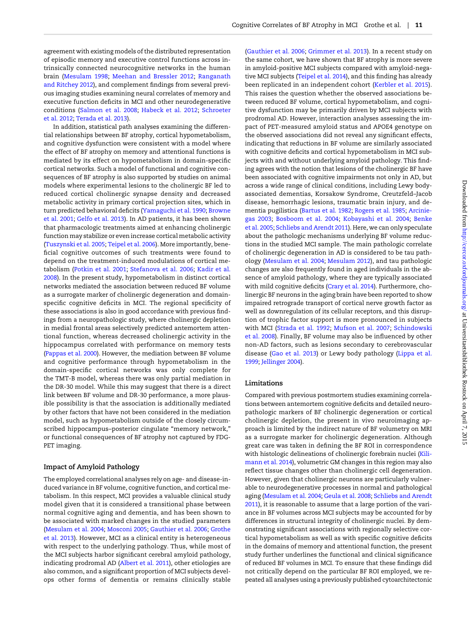agreement with existing models of the distributed representation of episodic memory and executive control functions across intrinsically connected neurocognitive networks in the human brain [\(Mesulam 1998](#page-13-0); [Meehan and Bressler 2012](#page-13-0); [Ranganath](#page-14-0) [and Ritchey 2012\)](#page-14-0), and complement findings from several previous imaging studies examining neural correlates of memory and executive function deficits in MCI and other neurodegenerative conditions [\(Salmon et al. 2008;](#page-14-0) [Habeck et al. 2012](#page-13-0); [Schroeter](#page-14-0) [et al. 2012](#page-14-0); [Terada et al. 2013\)](#page-14-0).

In addition, statistical path analyses examining the differential relationships between BF atrophy, cortical hypometabolism, and cognitive dysfunction were consistent with a model where the effect of BF atrophy on memory and attentional functions is mediated by its effect on hypometabolism in domain-specific cortical networks. Such a model of functional and cognitive consequences of BF atrophy is also supported by studies on animal models where experimental lesions to the cholinergic BF led to reduced cortical cholinergic synapse density and decreased metabolic activity in primary cortical projection sites, which in turn predicted behavioral deficits ([Yamaguchi et al. 1990](#page-15-0); [Browne](#page-12-0) [et al. 2001](#page-12-0); [Gelfo et al. 2013](#page-12-0)). In AD patients, it has been shown that pharmacologic treatments aimed at enhancing cholinergic function may stabilize or even increase cortical metabolic activity ([Tuszynski et al. 2005](#page-14-0); [Teipel et al. 2006\)](#page-14-0). More importantly, beneficial cognitive outcomes of such treatments were found to depend on the treatment-induced modulations of cortical metabolism ([Potkin et al. 2001](#page-14-0); [Stefanova et al. 2006;](#page-14-0) [Kadir et al.](#page-13-0) [2008](#page-13-0)). In the present study, hypometabolism in distinct cortical networks mediated the association between reduced BF volume as a surrogate marker of cholinergic degeneration and domainspecific cognitive deficits in MCI. The regional specificity of these associations is also in good accordance with previous findings from a neuropathologic study, where cholinergic depletion in medial frontal areas selectively predicted antemortem attentional function, whereas decreased cholinergic activity in the hippocampus correlated with performance on memory tests ([Pappas et al. 2000](#page-14-0)). However, the mediation between BF volume and cognitive performance through hypometabolism in the domain-specific cortical networks was only complete for the TMT-B model, whereas there was only partial mediation in the DR-30 model. While this may suggest that there is a direct link between BF volume and DR-30 performance, a more plausible possibility is that the association is additionally mediated by other factors that have not been considered in the mediation model, such as hypometabolism outside of the closely circumscribed hippocampus–posterior cingulate "memory network," or functional consequences of BF atrophy not captured by FDG-PET imaging.

#### Impact of Amyloid Pathology

The employed correlational analyses rely on age- and disease-induced variance in BF volume, cognitive function, and cortical metabolism. In this respect, MCI provides a valuable clinical study model given that it is considered a transitional phase between normal cognitive aging and dementia, and has been shown to be associated with marked changes in the studied parameters ([Mesulam et al. 2004;](#page-13-0) [Mosconi 2005](#page-14-0); [Gauthier et al. 2006](#page-12-0); [Grothe](#page-12-0) [et al. 2013](#page-12-0)). However, MCI as a clinical entity is heterogeneous with respect to the underlying pathology. Thus, while most of the MCI subjects harbor significant cerebral amyloid pathology, indicating prodromal AD [\(Albert et al. 2011\)](#page-11-0), other etiologies are also common, and a significant proportion of MCI subjects develops other forms of dementia or remains clinically stable

([Gauthier et al. 2006](#page-12-0); [Grimmer et al. 2013](#page-12-0)). In a recent study on the same cohort, we have shown that BF atrophy is more severe in amyloid-positive MCI subjects compared with amyloid-negative MCI subjects ([Teipel et al. 2014\)](#page-14-0), and this finding has already been replicated in an independent cohort ([Kerbler et al. 2015](#page-13-0)). This raises the question whether the observed associations between reduced BF volume, cortical hypometabolism, and cognitive dysfunction may be primarily driven by MCI subjects with prodromal AD. However, interaction analyses assessing the impact of PET-measured amyloid status and APOE4 genotype on the observed associations did not reveal any significant effects, indicating that reductions in BF volume are similarly associated with cognitive deficits and cortical hypometabolism in MCI subjects with and without underlying amyloid pathology. This finding agrees with the notion that lesions of the cholinergic BF have been associated with cognitive impairments not only in AD, but across a wide range of clinical conditions, including Lewy bodyassociated dementias, Korsakow Syndrome, Creutzfeld–Jacob disease, hemorrhagic lesions, traumatic brain injury, and dementia pugilistica [\(Bartus et al. 1982;](#page-11-0) [Rogers et al. 1985](#page-14-0); [Arcinie](#page-11-0)[gas 2003;](#page-11-0) [Bosboom et al. 2004;](#page-12-0) [Kobayashi et al.](#page-13-0) 2004; [Benke](#page-11-0) [et al. 2005;](#page-11-0) [Schliebs and Arendt 2011\)](#page-14-0). Here, we can only speculate about the pathologic mechanisms underlying BF volume reductions in the studied MCI sample. The main pathologic correlate of cholinergic degeneration in AD is considered to be tau pathology [\(Mesulam et al. 2004;](#page-13-0) [Mesulam 2012\)](#page-13-0), and tau pathologic changes are also frequently found in aged individuals in the absence of amyloid pathology, where they are typically associated with mild cognitive deficits [\(Crary et al. 2014\)](#page-12-0). Furthermore, cholinergic BF neurons in the aging brain have been reported to show impaired retrograde transport of cortical nerve growth factor as well as downregulation of its cellular receptors, and this disruption of trophic factor support is more pronounced in subjects with MCI ([Strada et al. 1992;](#page-14-0) [Mufson et al. 2007](#page-14-0); [Schindowski](#page-14-0) [et al. 2008](#page-14-0)). Finally, BF volume may also be influenced by other non-AD factors, such as lesions secondary to cerebrovascular disease ([Gao et al. 2013](#page-12-0)) or Lewy body pathology ([Lippa et al.](#page-13-0) [1999](#page-13-0); [Jellinger 2004\)](#page-13-0).

#### Limitations

Compared with previous postmortem studies examining correlations between antemortem cognitive deficits and detailed neuropathologic markers of BF cholinergic degeneration or cortical cholinergic depletion, the present in vivo neuroimaging approach is limited by the indirect nature of BF volumetry on MRI as a surrogate marker for cholinergic degeneration. Although great care was taken in defining the BF ROI in correspondence with histologic delineations of cholinergic forebrain nuclei [\(Kili](#page-13-0)[mann et al. 2014\)](#page-13-0), volumetric GM changes in this region may also reflect tissue changes other than cholinergic cell degeneration. However, given that cholinergic neurons are particularly vulnerable to neurodegenerative processes in normal and pathological aging ([Mesulam et al. 2004;](#page-13-0) [Geula et al. 2008](#page-12-0); [Schliebs and Arendt](#page-14-0) [2011](#page-14-0)), it is reasonable to assume that a large portion of the variance in BF volumes across MCI subjects may be accounted for by differences in structural integrity of cholinergic nuclei. By demonstrating significant associations with regionally selective cortical hypometabolism as well as with specific cognitive deficits in the domains of memory and attentional function, the present study further underlines the functional and clinical significance of reduced BF volumes in MCI. To ensure that these findings did not critically depend on the particular BF ROI employed, we repeated all analyses using a previously published cytoarchitectonic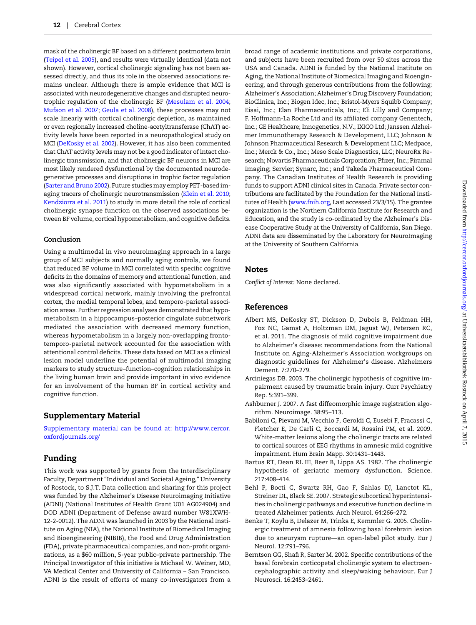<span id="page-11-0"></span>mask of the cholinergic BF based on a different postmortem brain ([Teipel et al. 2005](#page-14-0)), and results were virtually identical (data not shown). However, cortical cholinergic signaling has not been assessed directly, and thus its role in the observed associations remains unclear. Although there is ample evidence that MCI is associated with neurodegenerative changes and disrupted neurotrophic regulation of the cholinergic BF [\(Mesulam et al. 2004;](#page-13-0) [Mufson et al. 2007;](#page-14-0) [Geula et al. 2008](#page-12-0)), these processes may not scale linearly with cortical cholinergic depletion, as maintained or even regionally increased choline-acetyltransferase (ChAT) activity levels have been reported in a neuropathological study on MCI [\(DeKosky et al. 2002](#page-12-0)). However, it has also been commented that ChAT activity levels may not be a good indicator of intact cholinergic transmission, and that cholinergic BF neurons in MCI are most likely rendered dysfunctional by the documented neurodegenerative processes and disruptions in trophic factor regulation ([Sarter and Bruno 2002](#page-14-0)). Future studiesmay employ PET-based imaging tracers of cholinergic neurotransmission ([Klein et al. 2010;](#page-13-0) [Kendziorra et al. 2011\)](#page-13-0) to study in more detail the role of cortical cholinergic synapse function on the observed associations between BF volume, cortical hypometabolism, and cognitive deficits.

## Conclusion

Using a multimodal in vivo neuroimaging approach in a large group of MCI subjects and normally aging controls, we found that reduced BF volume in MCI correlated with specific cognitive deficits in the domains of memory and attentional function, and was also significantly associated with hypometabolism in a widespread cortical network, mainly involving the prefrontal cortex, the medial temporal lobes, and temporo-parietal association areas. Further regression analyses demonstrated that hypometabolism in a hippocampus–posterior cingulate subnetwork mediated the association with decreased memory function, whereas hypometabolism in a largely non-overlapping frontotemporo-parietal network accounted for the association with attentional control deficits. These data based on MCI as a clinical lesion model underline the potential of multimodal imaging markers to study structure–function–cognition relationships in the living human brain and provide important in vivo evidence for an involvement of the human BF in cortical activity and cognitive function.

# Supplementary Material

[Supplementary material can be found at: http://www.cercor.](http://cercor.oxfordjournals.org/lookup/suppl/doi:10.1093/cercor/bhv062/-/DC1) [oxfordjournals.org/](http://cercor.oxfordjournals.org/lookup/suppl/doi:10.1093/cercor/bhv062/-/DC1)

# Funding

This work was supported by grants from the Interdisciplinary Faculty, Department "Individual and Societal Ageing," University of Rostock, to S.J.T. Data collection and sharing for this project was funded by the Alzheimer's Disease Neuroimaging Initiative (ADNI) (National Institutes of Health Grant U01 AG024904) and DOD ADNI (Department of Defense award number W81XWH-12-2-0012). The ADNI was launched in 2003 by the National Institute on Aging (NIA), the National Institute of Biomedical Imaging and Bioengineering (NIBIB), the Food and Drug Administration (FDA), private pharmaceutical companies, and non-profit organizations, as a \$60 million, 5-year public–private partnership. The Principal Investigator of this initiative is Michael W. Weiner, MD, VA Medical Center and University of California – San Francisco. ADNI is the result of efforts of many co-investigators from a

broad range of academic institutions and private corporations, and subjects have been recruited from over 50 sites across the USA and Canada. ADNI is funded by the National Institute on Aging, the National Institute of Biomedical Imaging and Bioengineering, and through generous contributions from the following: Alzheimer's Association; Alzheimer's Drug Discovery Foundation; BioClinica, Inc.; Biogen Idec, Inc.; Bristol-Myers Squibb Company; Eisai, Inc.; Elan Pharmaceuticals, Inc.; Eli Lilly and Company; F. Hoffmann-La Roche Ltd and its affiliated company Genentech, Inc.; GE Healthcare; Innogenetics, N.V.; IXICO Ltd; Janssen Alzheimer Immunotherapy Research & Development, LLC; Johnson & Johnson Pharmaceutical Research & Development LLC; Medpace, Inc.; Merck & Co., Inc.; Meso Scale Diagnostics, LLC; NeuroRx Research; Novartis Pharmaceuticals Corporation; Pfizer, Inc.; Piramal Imaging; Servier; Synarc, Inc.; and Takeda Pharmaceutical Company. The Canadian Institutes of Health Research is providing funds to support ADNI clinical sites in Canada. Private sector contributions are facilitated by the Foundation for the National Institutes of Health [\(www.fnih.org,](www.fnih.org) Last accessed 23/3/15). The grantee organization is the Northern California Institute for Research and Education, and the study is co-ordinated by the Alzheimer's Disease Cooperative Study at the University of California, San Diego. ADNI data are disseminated by the Laboratory for NeuroImaging at the University of Southern California.

## Notes

Conflict of Interest: None declared.

# References

- Albert MS, DeKosky ST, Dickson D, Dubois B, Feldman HH, Fox NC, Gamst A, Holtzman DM, Jagust WJ, Petersen RC, et al. 2011. The diagnosis of mild cognitive impairment due to Alzheimer's disease: recommendations from the National Institute on Aging-Alzheimer's Association workgroups on diagnostic guidelines for Alzheimer's disease. Alzheimers Dement. 7:270–279.
- Arciniegas DB. 2003. The cholinergic hypothesis of cognitive impairment caused by traumatic brain injury. Curr Psychiatry Rep. 5:391–399.
- Ashburner J. 2007. A fast diffeomorphic image registration algorithm. Neuroimage. 38:95–113.
- Babiloni C, Pievani M, Vecchio F, Geroldi C, Eusebi F, Fracassi C, Fletcher E, De Carli C, Boccardi M, Rossini PM, et al. 2009. White-matter lesions along the cholinergic tracts are related to cortical sources of EEG rhythms in amnesic mild cognitive impairment. Hum Brain Mapp. 30:1431–1443.
- Bartus RT, Dean RL III, Beer B, Lippa AS. 1982. The cholinergic hypothesis of geriatric memory dysfunction. Science. 217:408–414.
- Behl P, Bocti C, Swartz RH, Gao F, Sahlas DJ, Lanctot KL, Streiner DL, Black SE. 2007. Strategic subcortical hyperintensities in cholinergic pathways and executive function decline in treated Alzheimer patients. Arch Neurol. 64:266–272.
- Benke T, Koylu B, Delazer M, Trinka E, Kemmler G. 2005. Cholinergic treatment of amnesia following basal forebrain lesion due to aneurysm rupture—an open-label pilot study. Eur J Neurol. 12:791–796.
- Berntson GG, Shafi R, Sarter M. 2002. Specific contributions of the basal forebrain corticopetal cholinergic system to electroencephalographic activity and sleep/waking behaviour. Eur J Neurosci. 16:2453–2461.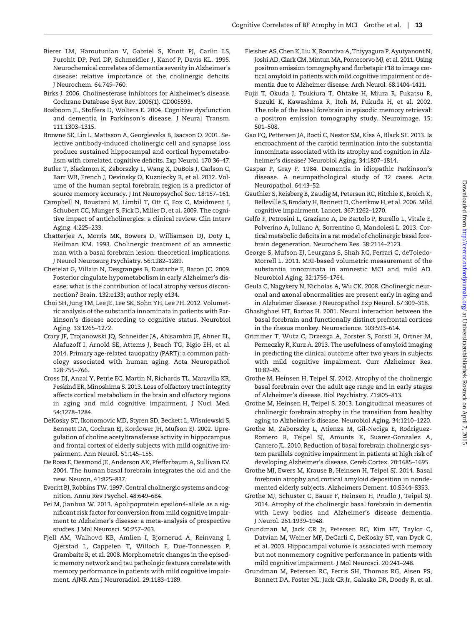- <span id="page-12-0"></span>Bierer LM, Haroutunian V, Gabriel S, Knott PJ, Carlin LS, Purohit DP, Perl DP, Schmeidler J, Kanof P, Davis KL. 1995. Neurochemical correlates of dementia severity in Alzheimer's disease: relative importance of the cholinergic deficits. J Neurochem. 64:749–760.
- Birks J. 2006. Cholinesterase inhibitors for Alzheimer's disease. Cochrane Database Syst Rev. 2006(1). CD005593.
- Bosboom JL, Stoffers D, Wolters E. 2004. Cognitive dysfunction and dementia in Parkinson's disease. J Neural Transm. 111:1303–1315.
- Browne SE, Lin L, Mattsson A, Georgievska B, Isacson O. 2001. Selective antibody-induced cholinergic cell and synapse loss produce sustained hippocampal and cortical hypometabolism with correlated cognitive deficits. Exp Neurol. 170:36–47.
- Butler T, Blackmon K, Zaborszky L, Wang X, DuBois J, Carlson C, Barr WB, French J, Devinsky O, Kuzniecky R, et al. 2012. Volume of the human septal forebrain region is a predictor of source memory accuracy. J Int Neuropsychol Soc. 18:157–161.
- Campbell N, Boustani M, Limbil T, Ott C, Fox C, Maidment I, Schubert CC, Munger S, Fick D, Miller D, et al. 2009. The cognitive impact of anticholinergics: a clinical review. Clin Interv Aging. 4:225–233.
- Chatterjee A, Morris MK, Bowers D, Williamson DJ, Doty L, Heilman KM. 1993. Cholinergic treatment of an amnestic man with a basal forebrain lesion: theoretical implications. J Neurol Neurosurg Psychiatry. 56:1282–1289.
- Chetelat G, Villain N, Desgranges B, Eustache F, Baron JC. 2009. Posterior cingulate hypometabolism in early Alzheimer's disease: what is the contribution of local atrophy versus disconnection? Brain. 132:e133; author reply e134.
- Choi SH, Jung TM, Lee JE, Lee SK, Sohn YH, Lee PH. 2012. Volumetric analysis of the substantia innominata in patients with Parkinson's disease according to cognitive status. Neurobiol Aging. 33:1265–1272.
- Crary JF, Trojanowski JQ, Schneider JA, Abisambra JF, Abner EL, Alafuzoff I, Arnold SE, Attems J, Beach TG, Bigio EH, et al. 2014. Primary age-related tauopathy (PART): a common pathology associated with human aging. Acta Neuropathol. 128:755–766.
- Cross DJ, Anzai Y, Petrie EC, Martin N, Richards TL, Maravilla KR, Peskind ER, Minoshima S. 2013. Loss of olfactory tract integrity affects cortical metabolism in the brain and olfactory regions in aging and mild cognitive impairment. J Nucl Med. 54:1278–1284.
- DeKosky ST, Ikonomovic MD, Styren SD, Beckett L, Wisniewski S, Bennett DA, Cochran EJ, Kordower JH, Mufson EJ. 2002. Upregulation of choline acetyltransferase activity in hippocampus and frontal cortex of elderly subjects with mild cognitive impairment. Ann Neurol. 51:145–155.
- De Rosa E, Desmond JE, Anderson AK, Pfefferbaum A, Sullivan EV. 2004. The human basal forebrain integrates the old and the new. Neuron. 41:825–837.
- Everitt BJ, Robbins TW. 1997. Central cholinergic systems and cognition. Annu Rev Psychol. 48:649–684.
- Fei M, Jianhua W. 2013. Apolipoprotein epsilon4-allele as a significant risk factor for conversion from mild cognitive impairment to Alzheimer's disease: a meta-analysis of prospective studies. J Mol Neurosci. 50:257–263.
- Fjell AM, Walhovd KB, Amlien I, Bjornerud A, Reinvang I, Gjerstad L, Cappelen T, Willoch F, Due-Tonnessen P, Grambaite R, et al. 2008. Morphometric changes in the episodic memory network and tau pathologic features correlate with memory performance in patients with mild cognitive impairment. AJNR Am J Neuroradiol. 29:1183–1189.
- Fleisher AS, Chen K, Liu X, Roontiva A, Thiyyagura P, Ayutyanont N, Joshi AD, Clark CM, Mintun MA, Pontecorvo MJ, et al. 2011. Using positron emission tomography and florbetapir F18 to image cortical amyloid in patients with mild cognitive impairment or dementia due to Alzheimer disease. Arch Neurol. 68:1404–1411.
- Fujii T, Okuda J, Tsukiura T, Ohtake H, Miura R, Fukatsu R, Suzuki K, Kawashima R, Itoh M, Fukuda H, et al. 2002. The role of the basal forebrain in episodic memory retrieval: a positron emission tomography study. Neuroimage. 15: 501–508.
- Gao FQ, Pettersen JA, Bocti C, Nestor SM, Kiss A, Black SE. 2013. Is encroachment of the carotid termination into the substantia innominata associated with its atrophy and cognition in Alzheimer's disease? Neurobiol Aging. 34:1807–1814.
- Gaspar P, Gray F. 1984. Dementia in idiopathic Parkinson's disease. A neuropathological study of 32 cases. Acta Neuropathol. 64:43–52.
- Gauthier S, Reisberg B, Zaudig M, Petersen RC, Ritchie K, Broich K, Belleville S, Brodaty H, Bennett D, Chertkow H, et al. 2006. Mild cognitive impairment. Lancet. 367:1262–1270.
- Gelfo F, Petrosini L, Graziano A, De Bartolo P, Burello L, Vitale E, Polverino A, Iuliano A, Sorrentino G, Mandolesi L. 2013. Cortical metabolic deficits in a rat model of cholinergic basal forebrain degeneration. Neurochem Res. 38:2114–2123.
- George S, Mufson EJ, Leurgans S, Shah RC, Ferrari C, deToledo-Morrell L. 2011. MRI-based volumetric measurement of the substantia innominata in amnestic MCI and mild AD. Neurobiol Aging. 32:1756–1764.
- Geula C, Nagykery N, Nicholas A, Wu CK. 2008. Cholinergic neuronal and axonal abnormalities are present early in aging and in Alzheimer disease. J Neuropathol Exp Neurol. 67:309–318.
- Ghashghaei HT, Barbas H. 2001. Neural interaction between the basal forebrain and functionally distinct prefrontal cortices in the rhesus monkey. Neuroscience. 103:593–614.
- Grimmer T, Wutz C, Drzezga A, Forster S, Forstl H, Ortner M, Perneczky R, Kurz A. 2013. The usefulness of amyloid imaging in predicting the clinical outcome after two years in subjects with mild cognitive impairment. Curr Alzheimer Res. 10:82–85.
- Grothe M, Heinsen H, Teipel SJ. 2012. Atrophy of the cholinergic basal forebrain over the adult age range and in early stages of Alzheimer's disease. Biol Psychiatry. 71:805–813.
- Grothe M, Heinsen H, Teipel S. 2013. Longitudinal measures of cholinergic forebrain atrophy in the transition from healthy aging to Alzheimer's disease. Neurobiol Aging. 34:1210–1220.
- Grothe M, Zaborszky L, Atienza M, Gil-Neciga E, Rodriguez-Romero R, Teipel SJ, Amunts K, Suarez-Gonzalez A, Cantero JL. 2010. Reduction of basal forebrain cholinergic system parallels cognitive impairment in patients at high risk of developing Alzheimer's disease. Cereb Cortex. 20:1685–1695.
- Grothe MJ, Ewers M, Krause B, Heinsen H, Teipel SJ. 2014. Basal forebrain atrophy and cortical amyloid deposition in nondemented elderly subjects. Alzheimers Dement. 10:S344–S353.
- Grothe MJ, Schuster C, Bauer F, Heinsen H, Prudlo J, Teipel SJ. 2014. Atrophy of the cholinergic basal forebrain in dementia with Lewy bodies and Alzheimer's disease dementia. J Neurol. 261:1939–1948.
- Grundman M, Jack CR Jr, Petersen RC, Kim HT, Taylor C, Datvian M, Weiner MF, DeCarli C, DeKosky ST, van Dyck C, et al. 2003. Hippocampal volume is associated with memory but not nonmemory cognitive performance in patients with mild cognitive impairment. J Mol Neurosci. 20:241–248.
- Grundman M, Petersen RC, Ferris SH, Thomas RG, Aisen PS, Bennett DA, Foster NL, Jack CR Jr, Galasko DR, Doody R, et al.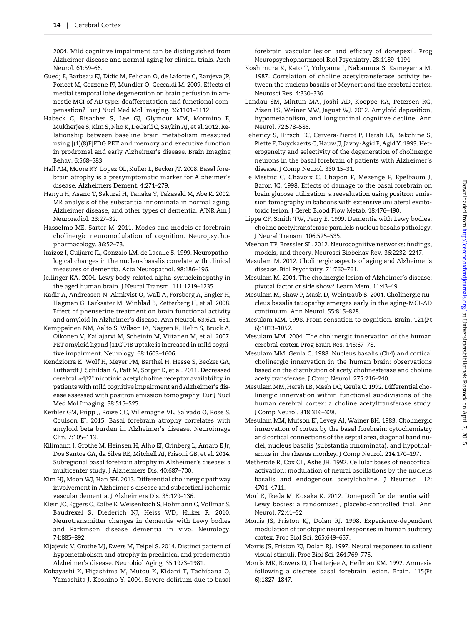<span id="page-13-0"></span>2004. Mild cognitive impairment can be distinguished from Alzheimer disease and normal aging for clinical trials. Arch Neurol. 61:59–66.

Guedj E, Barbeau EJ, Didic M, Felician O, de Laforte C, Ranjeva JP, Poncet M, Cozzone PJ, Mundler O, Ceccaldi M. 2009. Effects of medial temporal lobe degeneration on brain perfusion in amnestic MCI of AD type: deafferentation and functional compensation? Eur J Nucl Med Mol Imaging. 36:1101–1112.

Habeck C, Risacher S, Lee GJ, Glymour MM, Mormino E, Mukherjee S, Kim S, Nho K, DeCarli C, Saykin AJ, et al. 2012. Relationship between baseline brain metabolism measured using [(1)(8)F]FDG PET and memory and executive function in prodromal and early Alzheimer's disease. Brain Imaging Behav. 6:568–583.

- Hall AM, Moore RY, Lopez OL, Kuller L, Becker JT. 2008. Basal forebrain atrophy is a presymptomatic marker for Alzheimer's disease. Alzheimers Dement. 4:271–279.
- Hanyu H, Asano T, Sakurai H, Tanaka Y, Takasaki M, Abe K. 2002. MR analysis of the substantia innominata in normal aging, Alzheimer disease, and other types of dementia. AJNR Am J Neuroradiol. 23:27–32.
- Hasselmo ME, Sarter M. 2011. Modes and models of forebrain cholinergic neuromodulation of cognition. Neuropsychopharmacology. 36:52–73.
- Iraizoz I, Guijarro JL, Gonzalo LM, de Lacalle S. 1999. Neuropathological changes in the nucleus basalis correlate with clinical measures of dementia. Acta Neuropathol. 98:186–196.

Jellinger KA. 2004. Lewy body-related alpha-synucleinopathy in the aged human brain. J Neural Transm. 111:1219–1235.

- Kadir A, Andreasen N, Almkvist O, Wall A, Forsberg A, Engler H, Hagman G, Larksater M, Winblad B, Zetterberg H, et al. 2008. Effect of phenserine treatment on brain functional activity and amyloid in Alzheimer's disease. Ann Neurol. 63:621–631.
- Kemppainen NM, Aalto S, Wilson IA, Nagren K, Helin S, Bruck A, Oikonen V, Kailajarvi M, Scheinin M, Viitanen M, et al. 2007. PET amyloid ligand [11C]PIB uptake is increased in mild cognitive impairment. Neurology. 68:1603–1606.
- Kendziorra K, Wolf H, Meyer PM, Barthel H, Hesse S, Becker GA, Luthardt J, Schildan A, Patt M, Sorger D, et al. 2011. Decreased cerebral α4β2\* nicotinic acetylcholine receptor availability in patients with mild cognitive impairment and Alzheimer's disease assessed with positron emission tomography. Eur J Nucl Med Mol Imaging. 38:515–525.
- Kerbler GM, Fripp J, Rowe CC, Villemagne VL, Salvado O, Rose S, Coulson EJ. 2015. Basal forebrain atrophy correlates with amyloid beta burden in Alzheimer's disease. Neuroimage Clin. 7:105–113.
- Kilimann I, Grothe M, Heinsen H, Alho EJ, Grinberg L, Amaro E Jr, Dos Santos GA, da Silva RE, Mitchell AJ, Frisoni GB, et al. 2014. Subregional basal forebrain atrophy in Alzheimer's disease: a multicenter study. J Alzheimers Dis. 40:687–700.
- Kim HJ, Moon WJ, Han SH. 2013. Differential cholinergic pathway involvement in Alzheimer's disease and subcortical ischemic vascular dementia. J Alzheimers Dis. 35:129–136.
- Klein JC, Eggers C, Kalbe E, Weisenbach S, Hohmann C, Vollmar S, Baudrexel S, Diederich NJ, Heiss WD, Hilker R. 2010. Neurotransmitter changes in dementia with Lewy bodies and Parkinson disease dementia in vivo. Neurology. 74:885–892.
- Kljajevic V, Grothe MJ, Ewers M, Teipel S. 2014. Distinct pattern of hypometabolism and atrophy in preclinical and predementia Alzheimer's disease. Neurobiol Aging. 35:1973–1981.
- Kobayashi K, Higashima M, Mutou K, Kidani T, Tachibana O, Yamashita J, Koshino Y. 2004. Severe delirium due to basal

forebrain vascular lesion and efficacy of donepezil. Prog Neuropsychopharmacol Biol Psychiatry. 28:1189–1194.

- Koshimura K, Kato T, Yohyama I, Nakamura S, Kameyama M. 1987. Correlation of choline acetyltransferase activity between the nucleus basalis of Meynert and the cerebral cortex. Neurosci Res. 4:330–336.
- Landau SM, Mintun MA, Joshi AD, Koeppe RA, Petersen RC, Aisen PS, Weiner MW, Jagust WJ. 2012. Amyloid deposition, hypometabolism, and longitudinal cognitive decline. Ann Neurol. 72:578–586.
- Lehericy S, Hirsch EC, Cervera-Pierot P, Hersh LB, Bakchine S, Piette F, Duyckaerts C, Hauw JJ, Javoy-Agid F, Agid Y. 1993. Heterogeneity and selectivity of the degeneration of cholinergic neurons in the basal forebrain of patients with Alzheimer's disease. J Comp Neurol. 330:15–31.
- Le Mestric C, Chavoix C, Chapon F, Mezenge F, Epelbaum J, Baron JC. 1998. Effects of damage to the basal forebrain on brain glucose utilization: a reevaluation using positron emission tomography in baboons with extensive unilateral excitotoxic lesion. J Cereb Blood Flow Metab. 18:476–490.
- Lippa CF, Smith TW, Perry E. 1999. Dementia with Lewy bodies: choline acetyltransferase parallels nucleus basalis pathology. J Neural Transm. 106:525–535.
- Meehan TP, Bressler SL. 2012. Neurocognitive networks: findings, models, and theory. Neurosci Biobehav Rev. 36:2232–2247.
- Mesulam M. 2012. Cholinergic aspects of aging and Alzheimer's disease. Biol Psychiatry. 71:760–761.
- Mesulam M. 2004. The cholinergic lesion of Alzheimer's disease: pivotal factor or side show? Learn Mem. 11:43–49.
- Mesulam M, Shaw P, Mash D, Weintraub S. 2004. Cholinergic nucleus basalis tauopathy emerges early in the aging-MCI-AD continuum. Ann Neurol. 55:815–828.
- Mesulam MM. 1998. From sensation to cognition. Brain. 121(Pt 6):1013–1052.
- Mesulam MM. 2004. The cholinergic innervation of the human cerebral cortex. Prog Brain Res. 145:67–78.
- Mesulam MM, Geula C. 1988. Nucleus basalis (Ch4) and cortical cholinergic innervation in the human brain: observations based on the distribution of acetylcholinesterase and choline acetyltransferase. J Comp Neurol. 275:216–240.
- Mesulam MM, Hersh LB, Mash DC, Geula C. 1992. Differential cholinergic innervation within functional subdivisions of the human cerebral cortex: a choline acetyltransferase study. J Comp Neurol. 318:316–328.
- Mesulam MM, Mufson EJ, Levey AI, Wainer BH. 1983. Cholinergic innervation of cortex by the basal forebrain: cytochemistry and cortical connections of the septal area, diagonal band nuclei, nucleus basalis (substantia innominata), and hypothalamus in the rhesus monkey. J Comp Neurol. 214:170–197.
- Metherate R, Cox CL, Ashe JH. 1992. Cellular bases of neocortical activation: modulation of neural oscillations by the nucleus basalis and endogenous acetylcholine. J Neurosci. 12: 4701–4711.
- Mori E, Ikeda M, Kosaka K. 2012. Donepezil for dementia with Lewy bodies: a randomized, placebo-controlled trial. Ann Neurol. 72:41–52.
- Morris JS, Friston KJ, Dolan RJ. 1998. Experience-dependent modulation of tonotopic neural responses in human auditory cortex. Proc Biol Sci. 265:649–657.
- Morris JS, Friston KJ, Dolan RJ. 1997. Neural responses to salient visual stimuli. Proc Biol Sci. 264:769–775.
- Morris MK, Bowers D, Chatterjee A, Heilman KM. 1992. Amnesia following a discrete basal forebrain lesion. Brain. 115(Pt 6):1827–1847.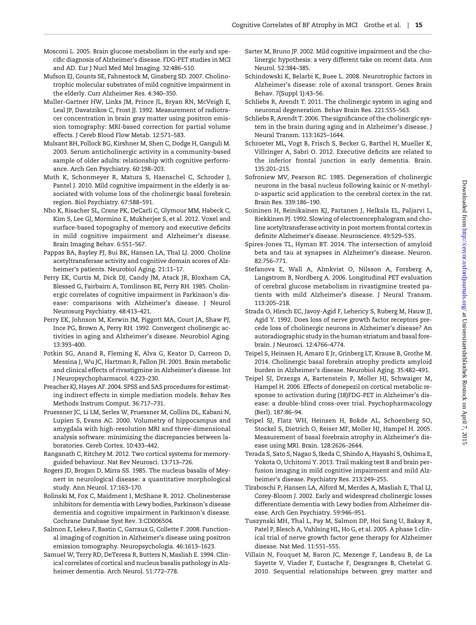- <span id="page-14-0"></span>Mosconi L. 2005. Brain glucose metabolism in the early and specific diagnosis of Alzheimer's disease. FDG-PET studies in MCI and AD. Eur J Nucl Med Mol Imaging. 32:486–510.
- Mufson EJ, Counts SE, Fahnestock M, Ginsberg SD. 2007. Cholinotrophic molecular substrates of mild cognitive impairment in the elderly. Curr Alzheimer Res. 4:340–350.
- Muller-Gartner HW, Links JM, Prince JL, Bryan RN, McVeigh E, Leal JP, Davatzikos C, Frost JJ. 1992. Measurement of radiotracer concentration in brain gray matter using positron emission tomography: MRI-based correction for partial volume effects. J Cereb Blood Flow Metab. 12:571–583.
- Mulsant BH, Pollock BG, Kirshner M, Shen C, Dodge H, Ganguli M. 2003. Serum anticholinergic activity in a community-based sample of older adults: relationship with cognitive performance. Arch Gen Psychiatry. 60:198–203.
- Muth K, Schonmeyer R, Matura S, Haenschel C, Schroder J, Pantel J. 2010. Mild cognitive impairment in the elderly is associated with volume loss of the cholinergic basal forebrain region. Biol Psychiatry. 67:588–591.
- Nho K, Risacher SL, Crane PK, DeCarli C, Glymour MM, Habeck C, Kim S, Lee GJ, Mormino E, Mukherjee S, et al. 2012. Voxel and surface-based topography of memory and executive deficits in mild cognitive impairment and Alzheimer's disease. Brain Imaging Behav. 6:551–567.
- Pappas BA, Bayley PJ, Bui BK, Hansen LA, Thal LJ. 2000. Choline acetyltransferase activity and cognitive domain scores of Alzheimer's patients. Neurobiol Aging. 21:11–17.
- Perry EK, Curtis M, Dick DJ, Candy JM, Atack JR, Bloxham CA, Blessed G, Fairbairn A, Tomlinson BE, Perry RH. 1985. Cholinergic correlates of cognitive impairment in Parkinson's disease: comparisons with Alzheimer's disease. J Neurol Neurosurg Psychiatry. 48:413–421.
- Perry EK, Johnson M, Kerwin JM, Piggott MA, Court JA, Shaw PJ, Ince PG, Brown A, Perry RH. 1992. Convergent cholinergic activities in aging and Alzheimer's disease. Neurobiol Aging. 13:393–400.
- Potkin SG, Anand R, Fleming K, Alva G, Keator D, Carreon D, Messina J, Wu JC, Hartman R, Fallon JH. 2001. Brain metabolic and clinical effects of rivastigmine in Alzheimer's disease. Int J Neuropsychopharmacol. 4:223–230.
- Preacher KJ, Hayes AF. 2004. SPSS and SAS procedures for estimating indirect effects in simple mediation models. Behav Res Methods Instrum Comput. 36:717–731.
- Pruessner JC, Li LM, Serles W, Pruessner M, Collins DL, Kabani N, Lupien S, Evans AC. 2000. Volumetry of hippocampus and amygdala with high-resolution MRI and three-dimensional analysis software: minimizing the discrepancies between laboratories. Cereb Cortex. 10:433–442.
- Ranganath C, Ritchey M. 2012. Two cortical systems for memoryguided behaviour. Nat Rev Neurosci. 13:713–726.
- Rogers JD, Brogan D, Mirra SS. 1985. The nucleus basalis of Meynert in neurological disease: a quantitative morphological study. Ann Neurol. 17:163–170.
- Rolinski M, Fox C, Maidment I, McShane R. 2012. Cholinesterase inhibitors for dementia with Lewy bodies, Parkinson's disease dementia and cognitive impairment in Parkinson's disease. Cochrane Database Syst Rev. 3:CD006504.
- Salmon E, Lekeu F, Bastin C, Garraux G, Collette F. 2008. Functional imaging of cognition in Alzheimer's disease using positron emission tomography. Neuropsychologia. 46:1613–1623.
- Samuel W, Terry RD, DeTeresa R, Butters N, Masliah E. 1994. Clinical correlates of cortical and nucleus basalis pathology in Alzheimer dementia. Arch Neurol. 51:772–778.
- Sarter M, Bruno JP. 2002. Mild cognitive impairment and the cholinergic hypothesis: a very different take on recent data. Ann Neurol. 52:384–385.
- Schindowski K, Belarbi K, Buee L. 2008. Neurotrophic factors in Alzheimer's disease: role of axonal transport. Genes Brain Behav. 7(Suppl 1):43–56.
- Schliebs R, Arendt T. 2011. The cholinergic system in aging and neuronal degeneration. Behav Brain Res. 221:555–563.
- Schliebs R, Arendt T. 2006. The significance of the cholinergic system in the brain during aging and in Alzheimer's disease. J Neural Transm. 113:1625–1644.
- Schroeter ML, Vogt B, Frisch S, Becker G, Barthel H, Mueller K, Villringer A, Sabri O. 2012. Executive deficits are related to the inferior frontal junction in early dementia. Brain. 135:201–215.
- Sofroniew MV, Pearson RC. 1985. Degeneration of cholinergic neurons in the basal nucleus following kainic or N-methyl- -aspartic acid application to the cerebral cortex in the rat. Brain Res. 339:186–190.
- Soininen H, Reinikainen KJ, Partanen J, Helkala EL, Paljarvi L, Riekkinen PJ. 1992. Slowing of electroencephalogram and choline acetyltransferase activity in post mortem frontal cortex in definite Alzheimer's disease. Neuroscience. 49:529–535.
- Spires-Jones TL, Hyman BT. 2014. The intersection of amyloid beta and tau at synapses in Alzheimer's disease. Neuron. 82:756–771.
- Stefanova E, Wall A, Almkvist O, Nilsson A, Forsberg A, Langstrom B, Nordberg A. 2006. Longitudinal PET evaluation of cerebral glucose metabolism in rivastigmine treated patients with mild Alzheimer's disease. J Neural Transm. 113:205–218.
- Strada O, Hirsch EC, Javoy-Agid F, Lehericy S, Ruberg M, Hauw JJ, Agid Y. 1992. Does loss of nerve growth factor receptors precede loss of cholinergic neurons in Alzheimer's disease? An autoradiographic study in the human striatum and basal forebrain. J Neurosci. 12:4766–4774.
- Teipel S, Heinsen H, Amaro E Jr, Grinberg LT, Krause B, Grothe M. 2014. Cholinergic basal forebrain atrophy predicts amyloid burden in Alzheimer's disease. Neurobiol Aging. 35:482–491.
- Teipel SJ, Drzezga A, Bartenstein P, Moller HJ, Schwaiger M, Hampel H. 2006. Effects of donepezil on cortical metabolic response to activation during (18)FDG-PET in Alzheimer's disease: a double-blind cross-over trial. Psychopharmacology (Berl). 187:86–94.
- Teipel SJ, Flatz WH, Heinsen H, Bokde AL, Schoenberg SO, Stockel S, Dietrich O, Reiser MF, Moller HJ, Hampel H. 2005. Measurement of basal forebrain atrophy in Alzheimer's disease using MRI. Brain. 128:2626–2644.
- Terada S, Sato S, Nagao S, Ikeda C, Shindo A, Hayashi S, Oshima E, Yokota O, Uchitomi Y. 2013. Trail making test B and brain perfusion imaging in mild cognitive impairment and mild Alzheimer's disease. Psychiatry Res. 213:249–255.
- Tiraboschi P, Hansen LA, Alford M, Merdes A, Masliah E, Thal LJ, Corey-Bloom J. 2002. Early and widespread cholinergic losses differentiate dementia with Lewy bodies from Alzheimer disease. Arch Gen Psychiatry. 59:946–951.
- Tuszynski MH, Thal L, Pay M, Salmon DP, Hoi Sang U, Bakay R, Patel P, Blesch A, Vahlsing HL, Ho G, et al. 2005. A phase 1 clinical trial of nerve growth factor gene therapy for Alzheimer disease. Nat Med. 11:551–555.
- Villain N, Fouquet M, Baron JC, Mezenge F, Landeau B, de La Sayette V, Viader F, Eustache F, Desgranges B, Chetelat G. 2010. Sequential relationships between grey matter and